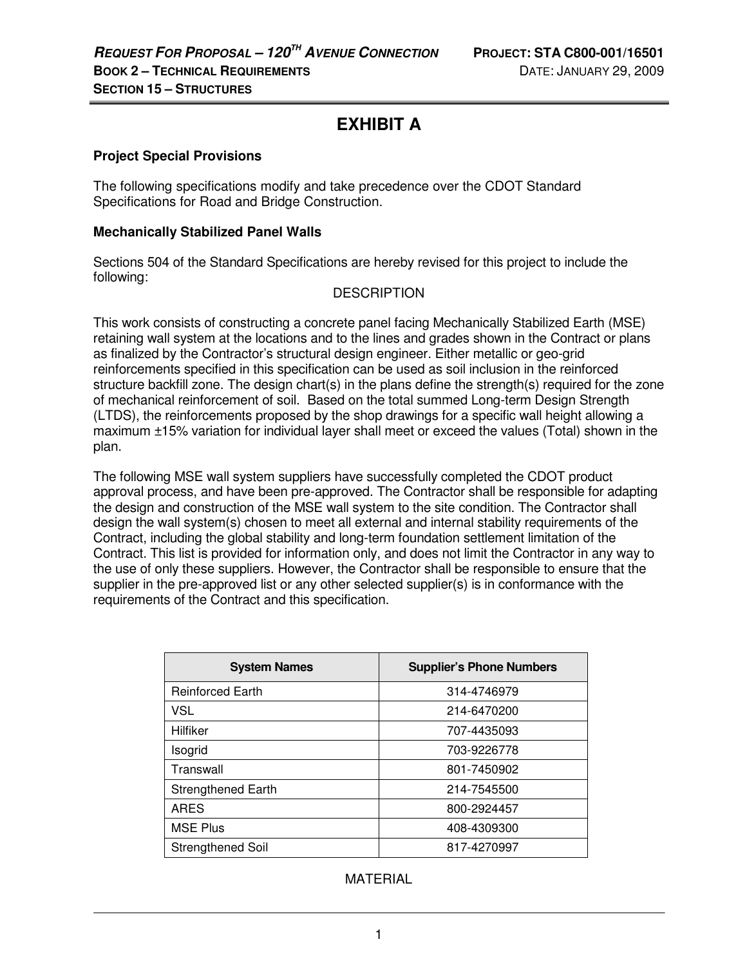# **EXHIBIT A**

## **Project Special Provisions**

The following specifications modify and take precedence over the CDOT Standard Specifications for Road and Bridge Construction.

#### **Mechanically Stabilized Panel Walls**

Sections 504 of the Standard Specifications are hereby revised for this project to include the following:

## **DESCRIPTION**

This work consists of constructing a concrete panel facing Mechanically Stabilized Earth (MSE) retaining wall system at the locations and to the lines and grades shown in the Contract or plans as finalized by the Contractor's structural design engineer. Either metallic or geo-grid reinforcements specified in this specification can be used as soil inclusion in the reinforced structure backfill zone. The design chart(s) in the plans define the strength(s) required for the zone of mechanical reinforcement of soil. Based on the total summed Long-term Design Strength (LTDS), the reinforcements proposed by the shop drawings for a specific wall height allowing a maximum ±15% variation for individual layer shall meet or exceed the values (Total) shown in the plan.

The following MSE wall system suppliers have successfully completed the CDOT product approval process, and have been pre-approved. The Contractor shall be responsible for adapting the design and construction of the MSE wall system to the site condition. The Contractor shall design the wall system(s) chosen to meet all external and internal stability requirements of the Contract, including the global stability and long-term foundation settlement limitation of the Contract. This list is provided for information only, and does not limit the Contractor in any way to the use of only these suppliers. However, the Contractor shall be responsible to ensure that the supplier in the pre-approved list or any other selected supplier(s) is in conformance with the requirements of the Contract and this specification.

| <b>System Names</b>       | <b>Supplier's Phone Numbers</b> |
|---------------------------|---------------------------------|
| <b>Reinforced Earth</b>   | 314-4746979                     |
| <b>VSL</b>                | 214-6470200                     |
| Hilfiker                  | 707-4435093                     |
| Isogrid                   | 703-9226778                     |
| Transwall                 | 801-7450902                     |
| <b>Strengthened Earth</b> | 214-7545500                     |
| <b>ARES</b>               | 800-2924457                     |
| <b>MSE Plus</b>           | 408-4309300                     |
| Strengthened Soil         | 817-4270997                     |

# MATERIAL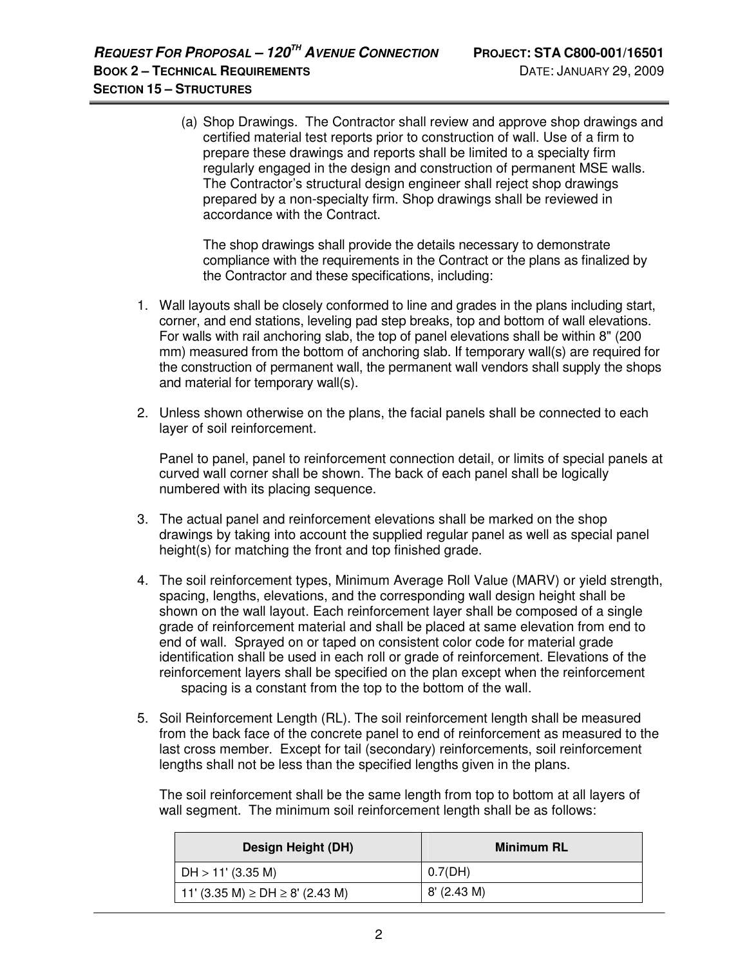(a) Shop Drawings. The Contractor shall review and approve shop drawings and certified material test reports prior to construction of wall. Use of a firm to prepare these drawings and reports shall be limited to a specialty firm regularly engaged in the design and construction of permanent MSE walls. The Contractor's structural design engineer shall reject shop drawings prepared by a non-specialty firm. Shop drawings shall be reviewed in accordance with the Contract.

The shop drawings shall provide the details necessary to demonstrate compliance with the requirements in the Contract or the plans as finalized by the Contractor and these specifications, including:

- 1. Wall layouts shall be closely conformed to line and grades in the plans including start, corner, and end stations, leveling pad step breaks, top and bottom of wall elevations. For walls with rail anchoring slab, the top of panel elevations shall be within 8" (200 mm) measured from the bottom of anchoring slab. If temporary wall(s) are required for the construction of permanent wall, the permanent wall vendors shall supply the shops and material for temporary wall(s).
- 2. Unless shown otherwise on the plans, the facial panels shall be connected to each layer of soil reinforcement.

Panel to panel, panel to reinforcement connection detail, or limits of special panels at curved wall corner shall be shown. The back of each panel shall be logically numbered with its placing sequence.

- 3. The actual panel and reinforcement elevations shall be marked on the shop drawings by taking into account the supplied regular panel as well as special panel height(s) for matching the front and top finished grade.
- 4. The soil reinforcement types, Minimum Average Roll Value (MARV) or yield strength, spacing, lengths, elevations, and the corresponding wall design height shall be shown on the wall layout. Each reinforcement layer shall be composed of a single grade of reinforcement material and shall be placed at same elevation from end to end of wall. Sprayed on or taped on consistent color code for material grade identification shall be used in each roll or grade of reinforcement. Elevations of the reinforcement layers shall be specified on the plan except when the reinforcement spacing is a constant from the top to the bottom of the wall.
- 5. Soil Reinforcement Length (RL). The soil reinforcement length shall be measured from the back face of the concrete panel to end of reinforcement as measured to the last cross member. Except for tail (secondary) reinforcements, soil reinforcement lengths shall not be less than the specified lengths given in the plans.

 The soil reinforcement shall be the same length from top to bottom at all layers of wall segment. The minimum soil reinforcement length shall be as follows:

| Design Height (DH)                      | Minimum RL  |
|-----------------------------------------|-------------|
| DH > 11' (3.35 M)                       | 0.7(DH)     |
| 11' (3.35 M) $\ge$ DH $\ge$ 8' (2.43 M) | 8' (2.43 M) |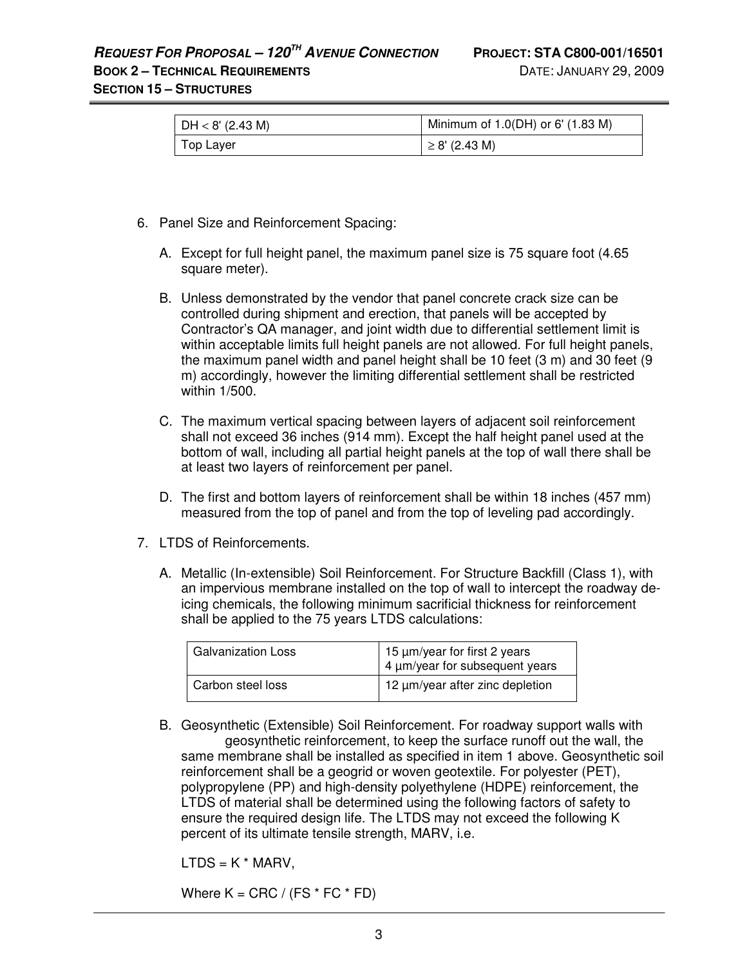# **REQUEST FOR PROPOSAL – 120TH AVENUE CONNECTION PROJECT: STA C800-001/16501**

**SECTION 15 – STRUCTURES**

| $\vert$ DH $< 8'$ (2.43 M) | Minimum of $1.0(DH)$ or 6' $(1.83 M)$ |
|----------------------------|---------------------------------------|
| Top Laver                  | $\geq$ 8' (2.43 M)                    |

- 6. Panel Size and Reinforcement Spacing:
	- A. Except for full height panel, the maximum panel size is 75 square foot (4.65 square meter).
	- B. Unless demonstrated by the vendor that panel concrete crack size can be controlled during shipment and erection, that panels will be accepted by Contractor's QA manager, and joint width due to differential settlement limit is within acceptable limits full height panels are not allowed. For full height panels, the maximum panel width and panel height shall be 10 feet (3 m) and 30 feet (9 m) accordingly, however the limiting differential settlement shall be restricted within 1/500.
	- C. The maximum vertical spacing between layers of adjacent soil reinforcement shall not exceed 36 inches (914 mm). Except the half height panel used at the bottom of wall, including all partial height panels at the top of wall there shall be at least two layers of reinforcement per panel.
	- D. The first and bottom layers of reinforcement shall be within 18 inches (457 mm) measured from the top of panel and from the top of leveling pad accordingly.
- 7. LTDS of Reinforcements.
	- A. Metallic (In-extensible) Soil Reinforcement. For Structure Backfill (Class 1), with an impervious membrane installed on the top of wall to intercept the roadway deicing chemicals, the following minimum sacrificial thickness for reinforcement shall be applied to the 75 years LTDS calculations:

| <b>Galvanization Loss</b> | $\begin{pmatrix} 15 \ \mu \text{m/year} \end{pmatrix}$ or first 2 years<br>4 $\mu \text{m/year}$ for subsequent years |
|---------------------------|-----------------------------------------------------------------------------------------------------------------------|
| Carbon steel loss         | 12 µm/year after zinc depletion                                                                                       |

B. Geosynthetic (Extensible) Soil Reinforcement. For roadway support walls with geosynthetic reinforcement, to keep the surface runoff out the wall, the same membrane shall be installed as specified in item 1 above. Geosynthetic soil reinforcement shall be a geogrid or woven geotextile. For polyester (PET), polypropylene (PP) and high-density polyethylene (HDPE) reinforcement, the LTDS of material shall be determined using the following factors of safety to ensure the required design life. The LTDS may not exceed the following K percent of its ultimate tensile strength, MARV, i.e.

 $LTDS = K * MARV,$ 

Where  $K = CRC / (FS * FC * FD)$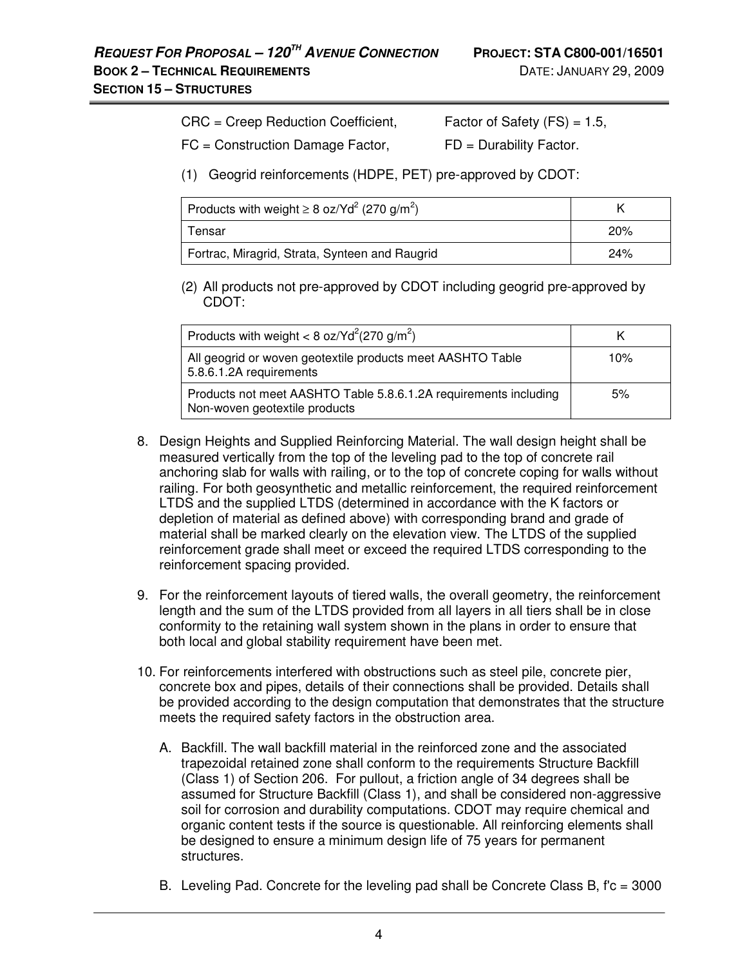|  |  | CRC = Creep Reduction Coefficient, | Factor of Safety $(FS) = 1.5$ , |  |  |
|--|--|------------------------------------|---------------------------------|--|--|
|--|--|------------------------------------|---------------------------------|--|--|

 $FC = Construction$  Damage Factor,  $FD =$  Durability Factor.

(1) Geogrid reinforcements (HDPE, PET) pre-approved by CDOT:

| Products with weight $\geq 8$ oz/Yd <sup>2</sup> (270 g/m <sup>2</sup> ) |     |
|--------------------------------------------------------------------------|-----|
| Tensar                                                                   | 20% |
| Fortrac, Miragrid, Strata, Synteen and Raugrid                           | 24% |

(2) All products not pre-approved by CDOT including geogrid pre-approved by CDOT:

| Products with weight < 8 oz/Yd <sup>2</sup> (270 g/m <sup>2</sup> )                               |     |
|---------------------------------------------------------------------------------------------------|-----|
| All geogrid or woven geotextile products meet AASHTO Table<br>5.8.6.1.2A requirements             | 10% |
| Products not meet AASHTO Table 5.8.6.1.2A requirements including<br>Non-woven geotextile products | 5%  |

- 8. Design Heights and Supplied Reinforcing Material. The wall design height shall be measured vertically from the top of the leveling pad to the top of concrete rail anchoring slab for walls with railing, or to the top of concrete coping for walls without railing. For both geosynthetic and metallic reinforcement, the required reinforcement LTDS and the supplied LTDS (determined in accordance with the K factors or depletion of material as defined above) with corresponding brand and grade of material shall be marked clearly on the elevation view. The LTDS of the supplied reinforcement grade shall meet or exceed the required LTDS corresponding to the reinforcement spacing provided.
- 9. For the reinforcement layouts of tiered walls, the overall geometry, the reinforcement length and the sum of the LTDS provided from all layers in all tiers shall be in close conformity to the retaining wall system shown in the plans in order to ensure that both local and global stability requirement have been met.
- 10. For reinforcements interfered with obstructions such as steel pile, concrete pier, concrete box and pipes, details of their connections shall be provided. Details shall be provided according to the design computation that demonstrates that the structure meets the required safety factors in the obstruction area.
	- A. Backfill. The wall backfill material in the reinforced zone and the associated trapezoidal retained zone shall conform to the requirements Structure Backfill (Class 1) of Section 206. For pullout, a friction angle of 34 degrees shall be assumed for Structure Backfill (Class 1), and shall be considered non-aggressive soil for corrosion and durability computations. CDOT may require chemical and organic content tests if the source is questionable. All reinforcing elements shall be designed to ensure a minimum design life of 75 years for permanent structures.
	- B. Leveling Pad. Concrete for the leveling pad shall be Concrete Class B, f'c = 3000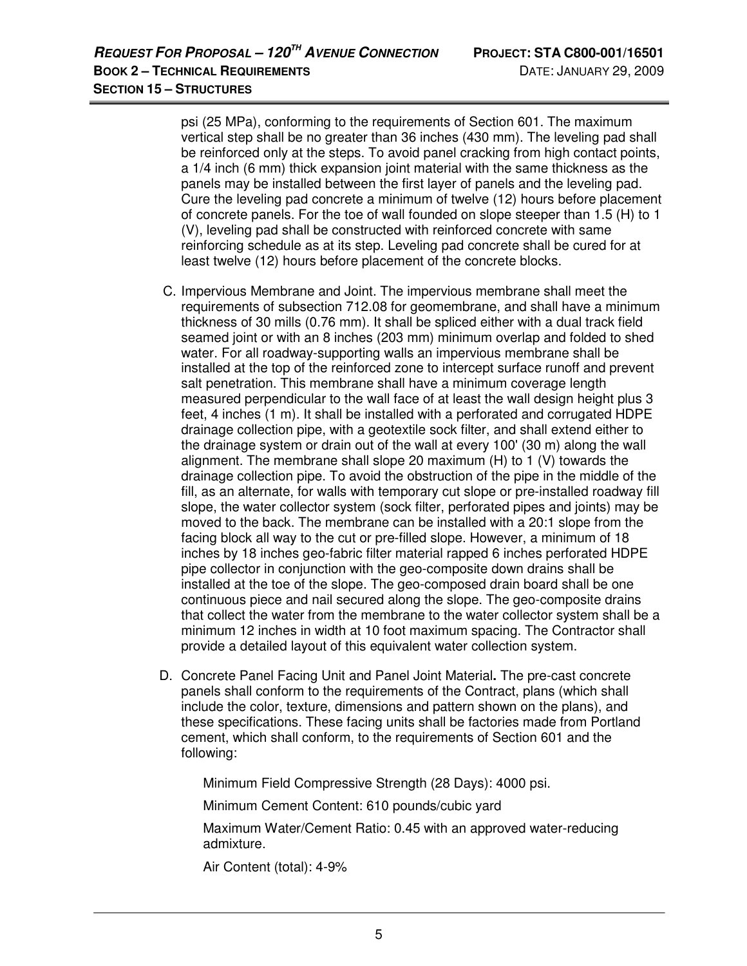psi (25 MPa), conforming to the requirements of Section 601. The maximum vertical step shall be no greater than 36 inches (430 mm). The leveling pad shall be reinforced only at the steps. To avoid panel cracking from high contact points, a 1/4 inch (6 mm) thick expansion joint material with the same thickness as the panels may be installed between the first layer of panels and the leveling pad. Cure the leveling pad concrete a minimum of twelve (12) hours before placement of concrete panels. For the toe of wall founded on slope steeper than 1.5 (H) to 1 (V), leveling pad shall be constructed with reinforced concrete with same reinforcing schedule as at its step. Leveling pad concrete shall be cured for at least twelve (12) hours before placement of the concrete blocks.

- C. Impervious Membrane and Joint. The impervious membrane shall meet the requirements of subsection 712.08 for geomembrane, and shall have a minimum thickness of 30 mills (0.76 mm). It shall be spliced either with a dual track field seamed joint or with an 8 inches (203 mm) minimum overlap and folded to shed water. For all roadway-supporting walls an impervious membrane shall be installed at the top of the reinforced zone to intercept surface runoff and prevent salt penetration. This membrane shall have a minimum coverage length measured perpendicular to the wall face of at least the wall design height plus 3 feet, 4 inches (1 m). It shall be installed with a perforated and corrugated HDPE drainage collection pipe, with a geotextile sock filter, and shall extend either to the drainage system or drain out of the wall at every 100' (30 m) along the wall alignment. The membrane shall slope 20 maximum (H) to 1 (V) towards the drainage collection pipe. To avoid the obstruction of the pipe in the middle of the fill, as an alternate, for walls with temporary cut slope or pre-installed roadway fill slope, the water collector system (sock filter, perforated pipes and joints) may be moved to the back. The membrane can be installed with a 20:1 slope from the facing block all way to the cut or pre-filled slope. However, a minimum of 18 inches by 18 inches geo-fabric filter material rapped 6 inches perforated HDPE pipe collector in conjunction with the geo-composite down drains shall be installed at the toe of the slope. The geo-composed drain board shall be one continuous piece and nail secured along the slope. The geo-composite drains that collect the water from the membrane to the water collector system shall be a minimum 12 inches in width at 10 foot maximum spacing. The Contractor shall provide a detailed layout of this equivalent water collection system.
- D. Concrete Panel Facing Unit and Panel Joint Material**.** The pre-cast concrete panels shall conform to the requirements of the Contract, plans (which shall include the color, texture, dimensions and pattern shown on the plans), and these specifications. These facing units shall be factories made from Portland cement, which shall conform, to the requirements of Section 601 and the following:

Minimum Field Compressive Strength (28 Days): 4000 psi.

Minimum Cement Content: 610 pounds/cubic yard

 Maximum Water/Cement Ratio: 0.45 with an approved water-reducing admixture.

Air Content (total): 4-9%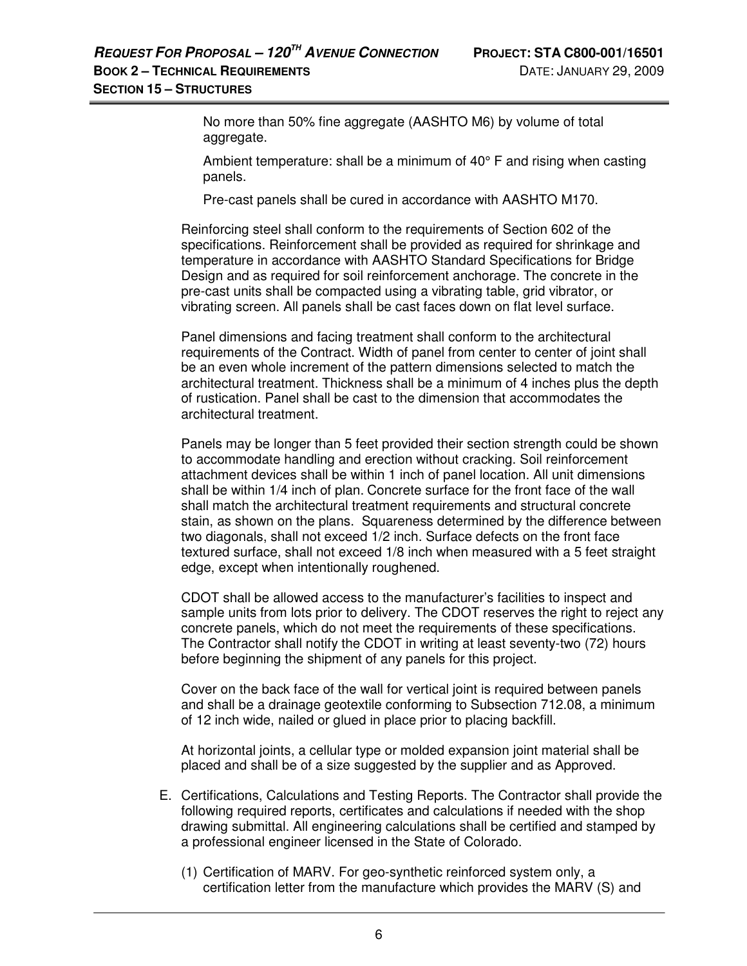No more than 50% fine aggregate (AASHTO M6) by volume of total aggregate.

Ambient temperature: shall be a minimum of 40° F and rising when casting panels.

Pre-cast panels shall be cured in accordance with AASHTO M170.

 Reinforcing steel shall conform to the requirements of Section 602 of the specifications. Reinforcement shall be provided as required for shrinkage and temperature in accordance with AASHTO Standard Specifications for Bridge Design and as required for soil reinforcement anchorage. The concrete in the pre-cast units shall be compacted using a vibrating table, grid vibrator, or vibrating screen. All panels shall be cast faces down on flat level surface.

Panel dimensions and facing treatment shall conform to the architectural requirements of the Contract. Width of panel from center to center of joint shall be an even whole increment of the pattern dimensions selected to match the architectural treatment. Thickness shall be a minimum of 4 inches plus the depth of rustication. Panel shall be cast to the dimension that accommodates the architectural treatment.

Panels may be longer than 5 feet provided their section strength could be shown to accommodate handling and erection without cracking. Soil reinforcement attachment devices shall be within 1 inch of panel location. All unit dimensions shall be within 1/4 inch of plan. Concrete surface for the front face of the wall shall match the architectural treatment requirements and structural concrete stain, as shown on the plans. Squareness determined by the difference between two diagonals, shall not exceed 1/2 inch. Surface defects on the front face textured surface, shall not exceed 1/8 inch when measured with a 5 feet straight edge, except when intentionally roughened.

CDOT shall be allowed access to the manufacturer's facilities to inspect and sample units from lots prior to delivery. The CDOT reserves the right to reject any concrete panels, which do not meet the requirements of these specifications. The Contractor shall notify the CDOT in writing at least seventy-two (72) hours before beginning the shipment of any panels for this project.

Cover on the back face of the wall for vertical joint is required between panels and shall be a drainage geotextile conforming to Subsection 712.08, a minimum of 12 inch wide, nailed or glued in place prior to placing backfill.

At horizontal joints, a cellular type or molded expansion joint material shall be placed and shall be of a size suggested by the supplier and as Approved.

- E. Certifications, Calculations and Testing Reports. The Contractor shall provide the following required reports, certificates and calculations if needed with the shop drawing submittal. All engineering calculations shall be certified and stamped by a professional engineer licensed in the State of Colorado.
	- (1) Certification of MARV. For geo-synthetic reinforced system only, a certification letter from the manufacture which provides the MARV (S) and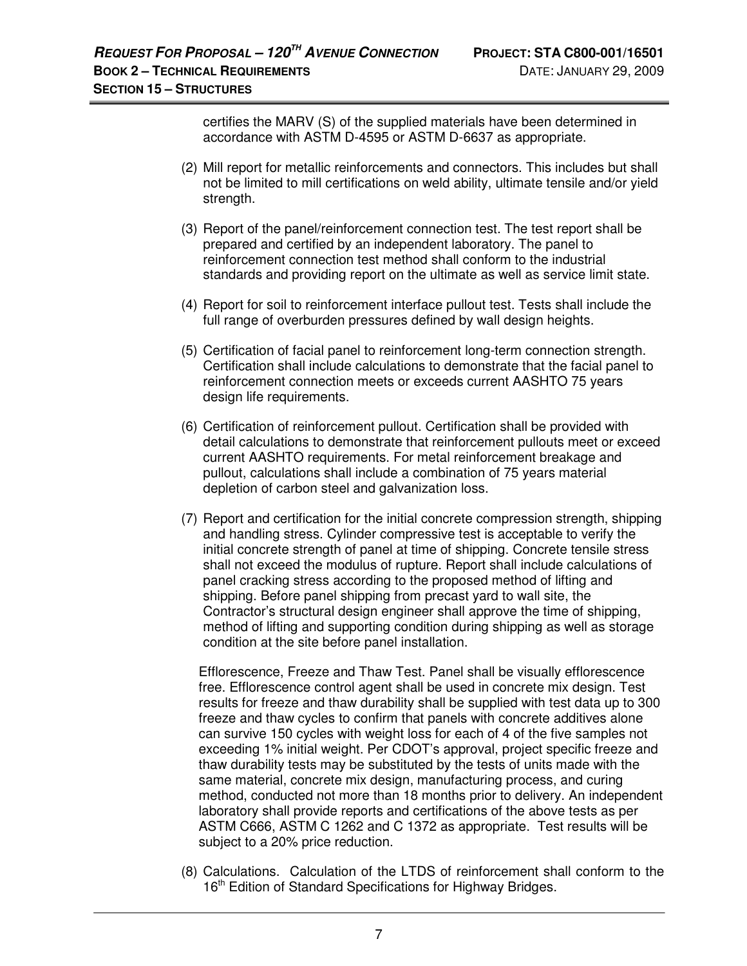certifies the MARV (S) of the supplied materials have been determined in accordance with ASTM D-4595 or ASTM D-6637 as appropriate.

- (2) Mill report for metallic reinforcements and connectors. This includes but shall not be limited to mill certifications on weld ability, ultimate tensile and/or yield strength.
- (3) Report of the panel/reinforcement connection test. The test report shall be prepared and certified by an independent laboratory. The panel to reinforcement connection test method shall conform to the industrial standards and providing report on the ultimate as well as service limit state.
- (4) Report for soil to reinforcement interface pullout test. Tests shall include the full range of overburden pressures defined by wall design heights.
- (5) Certification of facial panel to reinforcement long-term connection strength. Certification shall include calculations to demonstrate that the facial panel to reinforcement connection meets or exceeds current AASHTO 75 years design life requirements.
- (6) Certification of reinforcement pullout. Certification shall be provided with detail calculations to demonstrate that reinforcement pullouts meet or exceed current AASHTO requirements. For metal reinforcement breakage and pullout, calculations shall include a combination of 75 years material depletion of carbon steel and galvanization loss.
- (7) Report and certification for the initial concrete compression strength, shipping and handling stress. Cylinder compressive test is acceptable to verify the initial concrete strength of panel at time of shipping. Concrete tensile stress shall not exceed the modulus of rupture. Report shall include calculations of panel cracking stress according to the proposed method of lifting and shipping. Before panel shipping from precast yard to wall site, the Contractor's structural design engineer shall approve the time of shipping, method of lifting and supporting condition during shipping as well as storage condition at the site before panel installation.

Efflorescence, Freeze and Thaw Test. Panel shall be visually efflorescence free. Efflorescence control agent shall be used in concrete mix design. Test results for freeze and thaw durability shall be supplied with test data up to 300 freeze and thaw cycles to confirm that panels with concrete additives alone can survive 150 cycles with weight loss for each of 4 of the five samples not exceeding 1% initial weight. Per CDOT's approval, project specific freeze and thaw durability tests may be substituted by the tests of units made with the same material, concrete mix design, manufacturing process, and curing method, conducted not more than 18 months prior to delivery. An independent laboratory shall provide reports and certifications of the above tests as per ASTM C666, ASTM C 1262 and C 1372 as appropriate. Test results will be subject to a 20% price reduction.

(8) Calculations. Calculation of the LTDS of reinforcement shall conform to the 16<sup>th</sup> Edition of Standard Specifications for Highway Bridges.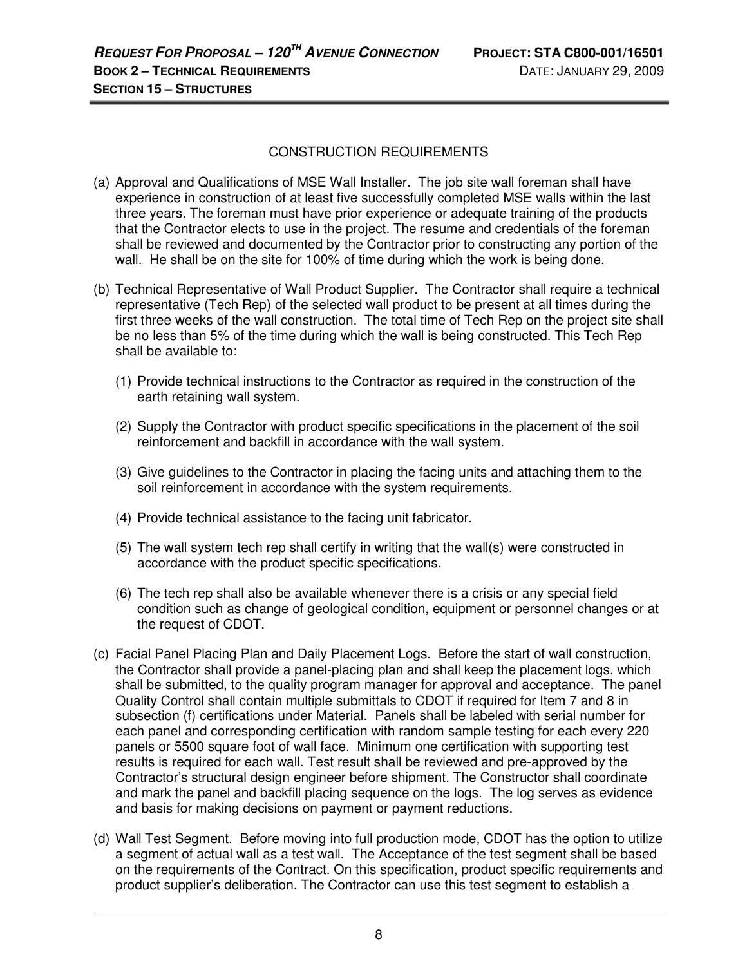# CONSTRUCTION REQUIREMENTS

- (a) Approval and Qualifications of MSE Wall Installer.The job site wall foreman shall have experience in construction of at least five successfully completed MSE walls within the last three years. The foreman must have prior experience or adequate training of the products that the Contractor elects to use in the project. The resume and credentials of the foreman shall be reviewed and documented by the Contractor prior to constructing any portion of the wall. He shall be on the site for 100% of time during which the work is being done.
- (b) Technical Representative of Wall Product Supplier.The Contractor shall require a technical representative (Tech Rep) of the selected wall product to be present at all times during the first three weeks of the wall construction. The total time of Tech Rep on the project site shall be no less than 5% of the time during which the wall is being constructed. This Tech Rep shall be available to:
	- (1) Provide technical instructions to the Contractor as required in the construction of the earth retaining wall system.
	- (2) Supply the Contractor with product specific specifications in the placement of the soil reinforcement and backfill in accordance with the wall system.
	- (3) Give guidelines to the Contractor in placing the facing units and attaching them to the soil reinforcement in accordance with the system requirements.
	- (4) Provide technical assistance to the facing unit fabricator.
	- (5) The wall system tech rep shall certify in writing that the wall(s) were constructed in accordance with the product specific specifications.
	- (6) The tech rep shall also be available whenever there is a crisis or any special field condition such as change of geological condition, equipment or personnel changes or at the request of CDOT.
- (c) Facial Panel Placing Plan and Daily Placement Logs. Before the start of wall construction, the Contractor shall provide a panel-placing plan and shall keep the placement logs, which shall be submitted, to the quality program manager for approval and acceptance. The panel Quality Control shall contain multiple submittals to CDOT if required for Item 7 and 8 in subsection (f) certifications under Material. Panels shall be labeled with serial number for each panel and corresponding certification with random sample testing for each every 220 panels or 5500 square foot of wall face. Minimum one certification with supporting test results is required for each wall. Test result shall be reviewed and pre-approved by the Contractor's structural design engineer before shipment. The Constructor shall coordinate and mark the panel and backfill placing sequence on the logs. The log serves as evidence and basis for making decisions on payment or payment reductions.
- (d) Wall Test Segment.Before moving into full production mode, CDOT has the option to utilize a segment of actual wall as a test wall. The Acceptance of the test segment shall be based on the requirements of the Contract. On this specification, product specific requirements and product supplier's deliberation. The Contractor can use this test segment to establish a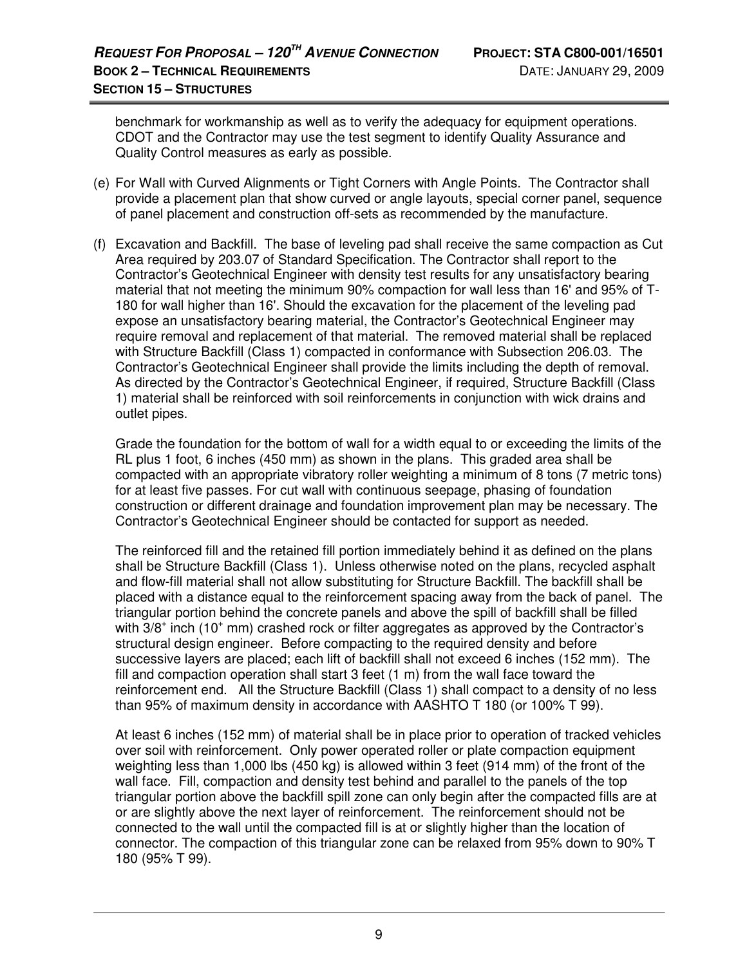benchmark for workmanship as well as to verify the adequacy for equipment operations. CDOT and the Contractor may use the test segment to identify Quality Assurance and Quality Control measures as early as possible.

- (e) For Wall with Curved Alignments or Tight Corners with Angle Points. The Contractor shall provide a placement plan that show curved or angle layouts, special corner panel, sequence of panel placement and construction off-sets as recommended by the manufacture.
- (f) Excavation and Backfill. The base of leveling pad shall receive the same compaction as Cut Area required by 203.07 of Standard Specification. The Contractor shall report to the Contractor's Geotechnical Engineer with density test results for any unsatisfactory bearing material that not meeting the minimum 90% compaction for wall less than 16' and 95% of T-180 for wall higher than 16'. Should the excavation for the placement of the leveling pad expose an unsatisfactory bearing material, the Contractor's Geotechnical Engineer may require removal and replacement of that material. The removed material shall be replaced with Structure Backfill (Class 1) compacted in conformance with Subsection 206.03. The Contractor's Geotechnical Engineer shall provide the limits including the depth of removal. As directed by the Contractor's Geotechnical Engineer, if required, Structure Backfill (Class 1) material shall be reinforced with soil reinforcements in conjunction with wick drains and outlet pipes.

Grade the foundation for the bottom of wall for a width equal to or exceeding the limits of the RL plus 1 foot, 6 inches (450 mm) as shown in the plans. This graded area shall be compacted with an appropriate vibratory roller weighting a minimum of 8 tons (7 metric tons) for at least five passes. For cut wall with continuous seepage, phasing of foundation construction or different drainage and foundation improvement plan may be necessary. The Contractor's Geotechnical Engineer should be contacted for support as needed.

The reinforced fill and the retained fill portion immediately behind it as defined on the plans shall be Structure Backfill (Class 1). Unless otherwise noted on the plans, recycled asphalt and flow-fill material shall not allow substituting for Structure Backfill. The backfill shall be placed with a distance equal to the reinforcement spacing away from the back of panel. The triangular portion behind the concrete panels and above the spill of backfill shall be filled with 3/8<sup>+</sup> inch (10<sup>+</sup> mm) crashed rock or filter aggregates as approved by the Contractor's structural design engineer. Before compacting to the required density and before successive layers are placed; each lift of backfill shall not exceed 6 inches (152 mm). The fill and compaction operation shall start  $3$  feet  $(1 \text{ m})$  from the wall face toward the reinforcement end. All the Structure Backfill (Class 1) shall compact to a density of no less than 95% of maximum density in accordance with AASHTO T 180 (or 100% T 99).

At least 6 inches (152 mm) of material shall be in place prior to operation of tracked vehicles over soil with reinforcement. Only power operated roller or plate compaction equipment weighting less than 1,000 lbs (450 kg) is allowed within 3 feet (914 mm) of the front of the wall face. Fill, compaction and density test behind and parallel to the panels of the top triangular portion above the backfill spill zone can only begin after the compacted fills are at or are slightly above the next layer of reinforcement. The reinforcement should not be connected to the wall until the compacted fill is at or slightly higher than the location of connector. The compaction of this triangular zone can be relaxed from 95% down to 90% T 180 (95% T 99).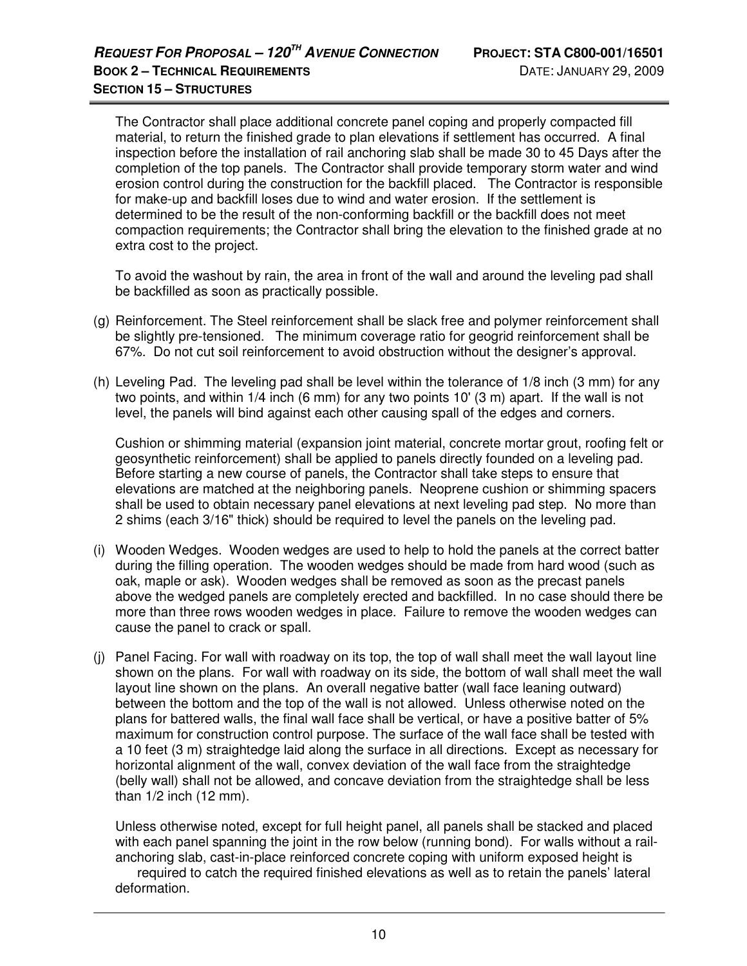The Contractor shall place additional concrete panel coping and properly compacted fill material, to return the finished grade to plan elevations if settlement has occurred. A final inspection before the installation of rail anchoring slab shall be made 30 to 45 Days after the completion of the top panels. The Contractor shall provide temporary storm water and wind erosion control during the construction for the backfill placed. The Contractor is responsible for make-up and backfill loses due to wind and water erosion. If the settlement is determined to be the result of the non-conforming backfill or the backfill does not meet compaction requirements; the Contractor shall bring the elevation to the finished grade at no extra cost to the project.

To avoid the washout by rain, the area in front of the wall and around the leveling pad shall be backfilled as soon as practically possible.

- (g) Reinforcement. The Steel reinforcement shall be slack free and polymer reinforcement shall be slightly pre-tensioned. The minimum coverage ratio for geogrid reinforcement shall be 67%. Do not cut soil reinforcement to avoid obstruction without the designer's approval.
- (h) Leveling Pad. The leveling pad shall be level within the tolerance of 1/8 inch (3 mm) for any two points, and within 1/4 inch (6 mm) for any two points 10' (3 m) apart. If the wall is not level, the panels will bind against each other causing spall of the edges and corners.

 Cushion or shimming material (expansion joint material, concrete mortar grout, roofing felt or geosynthetic reinforcement) shall be applied to panels directly founded on a leveling pad. Before starting a new course of panels, the Contractor shall take steps to ensure that elevations are matched at the neighboring panels. Neoprene cushion or shimming spacers shall be used to obtain necessary panel elevations at next leveling pad step. No more than 2 shims (each 3/16" thick) should be required to level the panels on the leveling pad.

- (i) Wooden Wedges.Wooden wedges are used to help to hold the panels at the correct batter during the filling operation. The wooden wedges should be made from hard wood (such as oak, maple or ask). Wooden wedges shall be removed as soon as the precast panels above the wedged panels are completely erected and backfilled. In no case should there be more than three rows wooden wedges in place. Failure to remove the wooden wedges can cause the panel to crack or spall.
- (j) Panel Facing. For wall with roadway on its top, the top of wall shall meet the wall layout line shown on the plans. For wall with roadway on its side, the bottom of wall shall meet the wall layout line shown on the plans. An overall negative batter (wall face leaning outward) between the bottom and the top of the wall is not allowed. Unless otherwise noted on the plans for battered walls, the final wall face shall be vertical, or have a positive batter of 5% maximum for construction control purpose. The surface of the wall face shall be tested with a 10 feet (3 m) straightedge laid along the surface in all directions. Except as necessary for horizontal alignment of the wall, convex deviation of the wall face from the straightedge (belly wall) shall not be allowed, and concave deviation from the straightedge shall be less than 1/2 inch (12 mm).

 Unless otherwise noted, except for full height panel, all panels shall be stacked and placed with each panel spanning the joint in the row below (running bond). For walls without a railanchoring slab, cast-in-place reinforced concrete coping with uniform exposed height is

 required to catch the required finished elevations as well as to retain the panels' lateral deformation.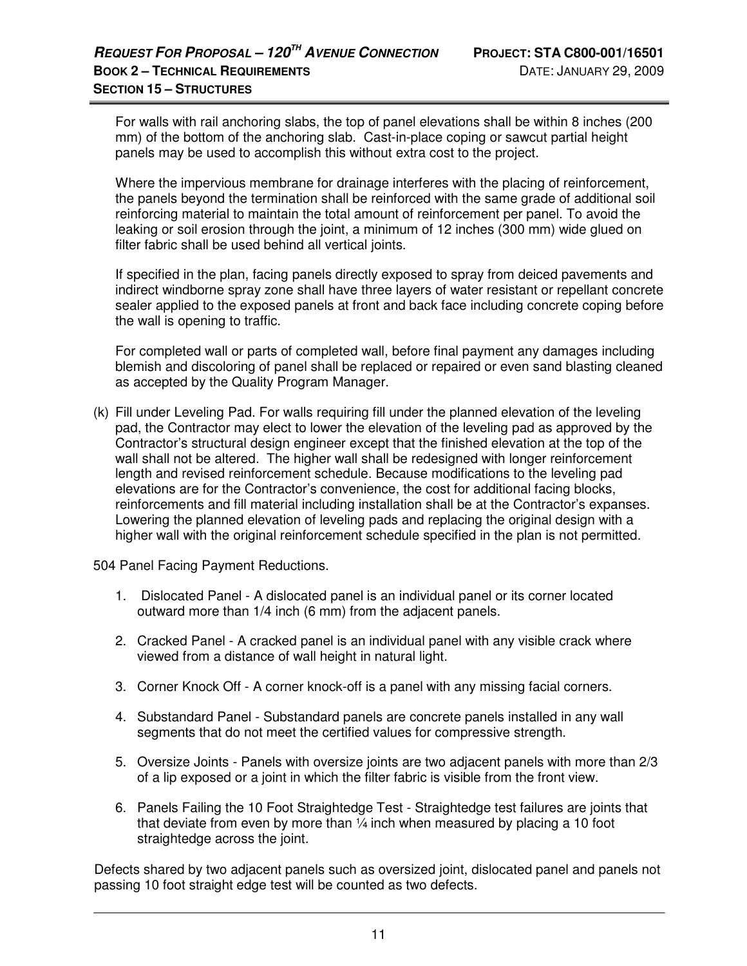For walls with rail anchoring slabs, the top of panel elevations shall be within 8 inches (200 mm) of the bottom of the anchoring slab. Cast-in-place coping or sawcut partial height panels may be used to accomplish this without extra cost to the project.

 Where the impervious membrane for drainage interferes with the placing of reinforcement, the panels beyond the termination shall be reinforced with the same grade of additional soil reinforcing material to maintain the total amount of reinforcement per panel. To avoid the leaking or soil erosion through the joint, a minimum of 12 inches (300 mm) wide glued on filter fabric shall be used behind all vertical joints.

 If specified in the plan, facing panels directly exposed to spray from deiced pavements and indirect windborne spray zone shall have three layers of water resistant or repellant concrete sealer applied to the exposed panels at front and back face including concrete coping before the wall is opening to traffic.

For completed wall or parts of completed wall, before final payment any damages including blemish and discoloring of panel shall be replaced or repaired or even sand blasting cleaned as accepted by the Quality Program Manager.

(k) Fill under Leveling Pad. For walls requiring fill under the planned elevation of the leveling pad, the Contractor may elect to lower the elevation of the leveling pad as approved by the Contractor's structural design engineer except that the finished elevation at the top of the wall shall not be altered. The higher wall shall be redesigned with longer reinforcement length and revised reinforcement schedule. Because modifications to the leveling pad elevations are for the Contractor's convenience, the cost for additional facing blocks, reinforcements and fill material including installation shall be at the Contractor's expanses. Lowering the planned elevation of leveling pads and replacing the original design with a higher wall with the original reinforcement schedule specified in the plan is not permitted.

504 Panel Facing Payment Reductions.

- 1. Dislocated Panel A dislocated panel is an individual panel or its corner located outward more than 1/4 inch (6 mm) from the adjacent panels.
- 2. Cracked Panel A cracked panel is an individual panel with any visible crack where viewed from a distance of wall height in natural light.
- 3. Corner Knock Off A corner knock-off is a panel with any missing facial corners.
- 4. Substandard Panel Substandard panels are concrete panels installed in any wall segments that do not meet the certified values for compressive strength.
- 5. Oversize Joints Panels with oversize joints are two adjacent panels with more than 2/3 of a lip exposed or a joint in which the filter fabric is visible from the front view.
- 6. Panels Failing the 10 Foot Straightedge Test Straightedge test failures are joints that that deviate from even by more than  $\frac{1}{4}$  inch when measured by placing a 10 foot straightedge across the joint.

Defects shared by two adjacent panels such as oversized joint, dislocated panel and panels not passing 10 foot straight edge test will be counted as two defects.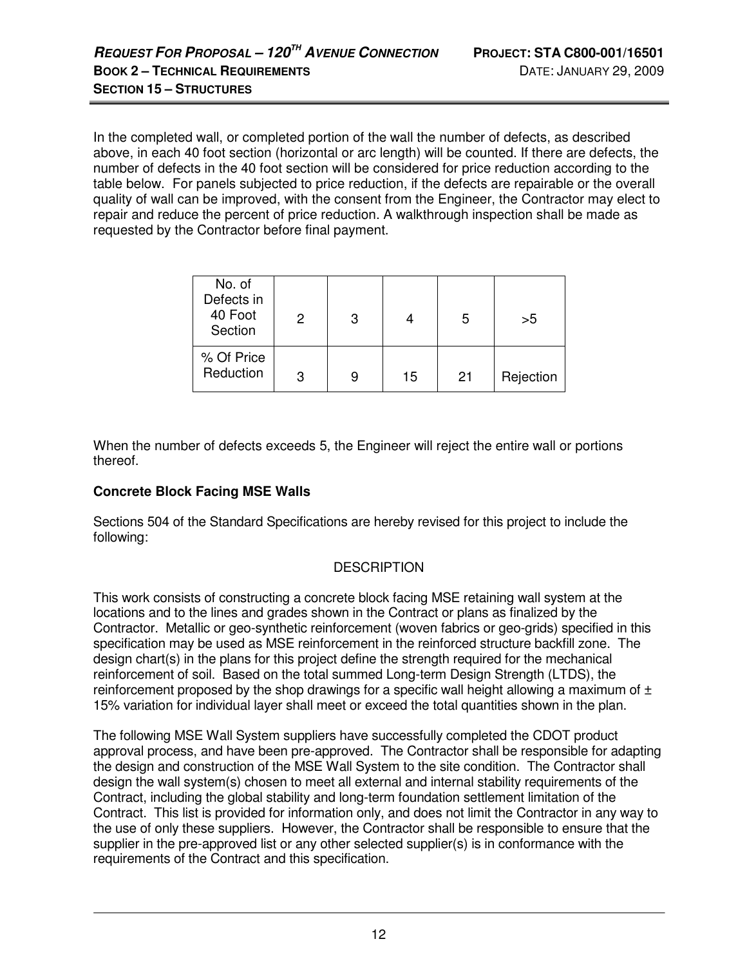In the completed wall, or completed portion of the wall the number of defects, as described above, in each 40 foot section (horizontal or arc length) will be counted. If there are defects, the number of defects in the 40 foot section will be considered for price reduction according to the table below. For panels subjected to price reduction, if the defects are repairable or the overall quality of wall can be improved, with the consent from the Engineer, the Contractor may elect to repair and reduce the percent of price reduction. A walkthrough inspection shall be made as requested by the Contractor before final payment.

| No. of<br>Defects in<br>40 Foot<br>Section | 2 | 3 |    | 5  | >5        |
|--------------------------------------------|---|---|----|----|-----------|
| % Of Price<br>Reduction                    | 3 | 9 | 15 | 21 | Rejection |

When the number of defects exceeds 5, the Engineer will reject the entire wall or portions thereof.

# **Concrete Block Facing MSE Walls**

Sections 504 of the Standard Specifications are hereby revised for this project to include the following:

# **DESCRIPTION**

This work consists of constructing a concrete block facing MSE retaining wall system at the locations and to the lines and grades shown in the Contract or plans as finalized by the Contractor. Metallic or geo-synthetic reinforcement (woven fabrics or geo-grids) specified in this specification may be used as MSE reinforcement in the reinforced structure backfill zone. The design chart(s) in the plans for this project define the strength required for the mechanical reinforcement of soil. Based on the total summed Long-term Design Strength (LTDS), the reinforcement proposed by the shop drawings for a specific wall height allowing a maximum of  $\pm$ 15% variation for individual layer shall meet or exceed the total quantities shown in the plan.

The following MSE Wall System suppliers have successfully completed the CDOT product approval process, and have been pre-approved. The Contractor shall be responsible for adapting the design and construction of the MSE Wall System to the site condition. The Contractor shall design the wall system(s) chosen to meet all external and internal stability requirements of the Contract, including the global stability and long-term foundation settlement limitation of the Contract. This list is provided for information only, and does not limit the Contractor in any way to the use of only these suppliers. However, the Contractor shall be responsible to ensure that the supplier in the pre-approved list or any other selected supplier(s) is in conformance with the requirements of the Contract and this specification.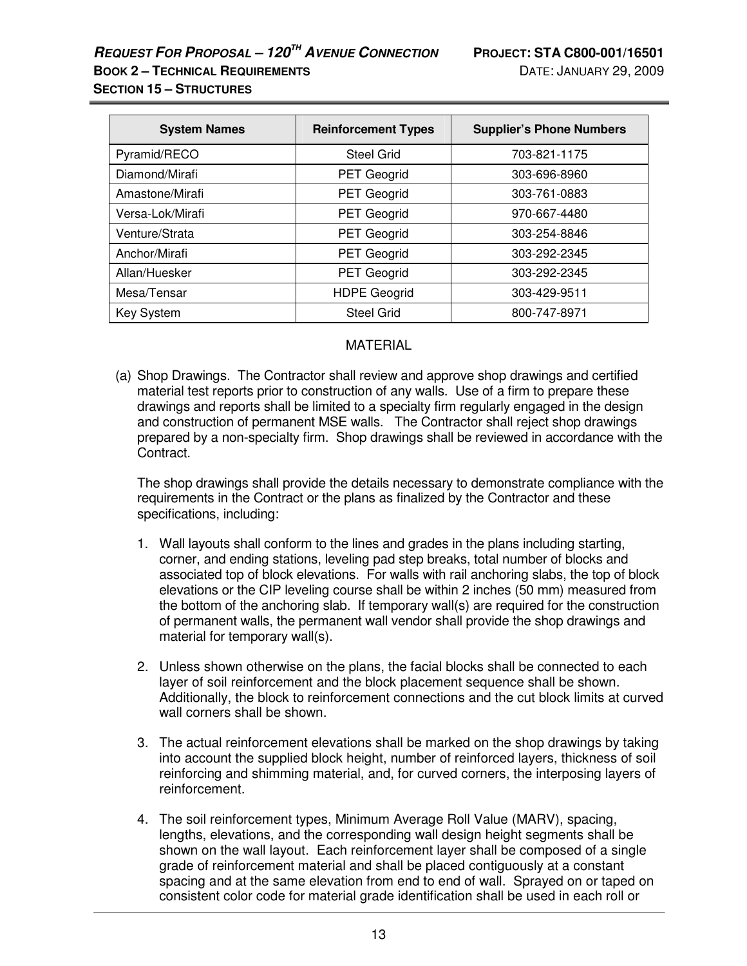# **REQUEST FOR PROPOSAL – 120TH AVENUE CONNECTION PROJECT: STA C800-001/16501**

**SECTION 15 – STRUCTURES**

| <b>System Names</b> | <b>Reinforcement Types</b> | <b>Supplier's Phone Numbers</b> |
|---------------------|----------------------------|---------------------------------|
| Pyramid/RECO        | <b>Steel Grid</b>          | 703-821-1175                    |
| Diamond/Mirafi      | <b>PET Geogrid</b>         | 303-696-8960                    |
| Amastone/Mirafi     | PET Geogrid                | 303-761-0883                    |
| Versa-Lok/Mirafi    | PET Geogrid                | 970-667-4480                    |
| Venture/Strata      | <b>PET Geogrid</b>         | 303-254-8846                    |
| Anchor/Mirafi       | PET Geogrid                | 303-292-2345                    |
| Allan/Huesker       | PET Geogrid                | 303-292-2345                    |
| Mesa/Tensar         | <b>HDPE Geogrid</b>        | 303-429-9511                    |
| Key System          | <b>Steel Grid</b>          | 800-747-8971                    |

# MATERIAL

(a) Shop Drawings. The Contractor shall review and approve shop drawings and certified material test reports prior to construction of any walls. Use of a firm to prepare these drawings and reports shall be limited to a specialty firm regularly engaged in the design and construction of permanent MSE walls. The Contractor shall reject shop drawings prepared by a non-specialty firm. Shop drawings shall be reviewed in accordance with the Contract.

 The shop drawings shall provide the details necessary to demonstrate compliance with the requirements in the Contract or the plans as finalized by the Contractor and these specifications, including:

- 1. Wall layouts shall conform to the lines and grades in the plans including starting, corner, and ending stations, leveling pad step breaks, total number of blocks and associated top of block elevations. For walls with rail anchoring slabs, the top of block elevations or the CIP leveling course shall be within 2 inches (50 mm) measured from the bottom of the anchoring slab. If temporary wall(s) are required for the construction of permanent walls, the permanent wall vendor shall provide the shop drawings and material for temporary wall(s).
- 2. Unless shown otherwise on the plans, the facial blocks shall be connected to each layer of soil reinforcement and the block placement sequence shall be shown. Additionally, the block to reinforcement connections and the cut block limits at curved wall corners shall be shown.
- 3. The actual reinforcement elevations shall be marked on the shop drawings by taking into account the supplied block height, number of reinforced layers, thickness of soil reinforcing and shimming material, and, for curved corners, the interposing layers of reinforcement.
- 4. The soil reinforcement types, Minimum Average Roll Value (MARV), spacing, lengths, elevations, and the corresponding wall design height segments shall be shown on the wall layout. Each reinforcement layer shall be composed of a single grade of reinforcement material and shall be placed contiguously at a constant spacing and at the same elevation from end to end of wall. Sprayed on or taped on consistent color code for material grade identification shall be used in each roll or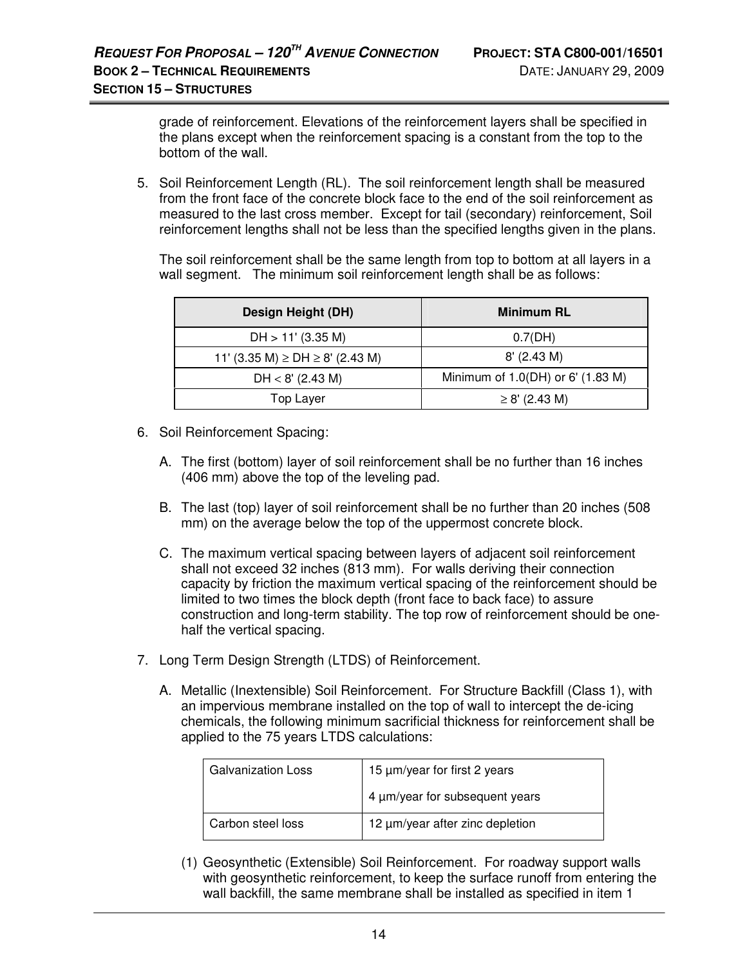grade of reinforcement. Elevations of the reinforcement layers shall be specified in the plans except when the reinforcement spacing is a constant from the top to the bottom of the wall.

5. Soil Reinforcement Length (RL). The soil reinforcement length shall be measured from the front face of the concrete block face to the end of the soil reinforcement as measured to the last cross member. Except for tail (secondary) reinforcement, Soil reinforcement lengths shall not be less than the specified lengths given in the plans.

 The soil reinforcement shall be the same length from top to bottom at all layers in a wall segment. The minimum soil reinforcement length shall be as follows:

| Design Height (DH)                      | <b>Minimum RL</b>                 |
|-----------------------------------------|-----------------------------------|
| $DH > 11'$ (3.35 M)                     | 0.7(DH)                           |
| 11' (3.35 M) $\ge$ DH $\ge$ 8' (2.43 M) | $8'$ (2.43 M)                     |
| $DH < 8'$ (2.43 M)                      | Minimum of 1.0(DH) or 6' (1.83 M) |
| <b>Top Layer</b>                        | $\geq$ 8' (2.43 M)                |

- 6. Soil Reinforcement Spacing:
	- A. The first (bottom) layer of soil reinforcement shall be no further than 16 inches (406 mm) above the top of the leveling pad.
	- B. The last (top) layer of soil reinforcement shall be no further than 20 inches (508 mm) on the average below the top of the uppermost concrete block.
	- C. The maximum vertical spacing between layers of adjacent soil reinforcement shall not exceed 32 inches (813 mm). For walls deriving their connection capacity by friction the maximum vertical spacing of the reinforcement should be limited to two times the block depth (front face to back face) to assure construction and long-term stability. The top row of reinforcement should be onehalf the vertical spacing.
- 7. Long Term Design Strength (LTDS) of Reinforcement.
	- A. Metallic (Inextensible) Soil Reinforcement. For Structure Backfill (Class 1), with an impervious membrane installed on the top of wall to intercept the de-icing chemicals, the following minimum sacrificial thickness for reinforcement shall be applied to the 75 years LTDS calculations:

| <b>Galvanization Loss</b> | 15 µm/year for first 2 years    |  |
|---------------------------|---------------------------------|--|
|                           | 4 µm/year for subsequent years  |  |
| Carbon steel loss         | 12 µm/year after zinc depletion |  |

(1) Geosynthetic (Extensible) Soil Reinforcement. For roadway support walls with geosynthetic reinforcement, to keep the surface runoff from entering the wall backfill, the same membrane shall be installed as specified in item 1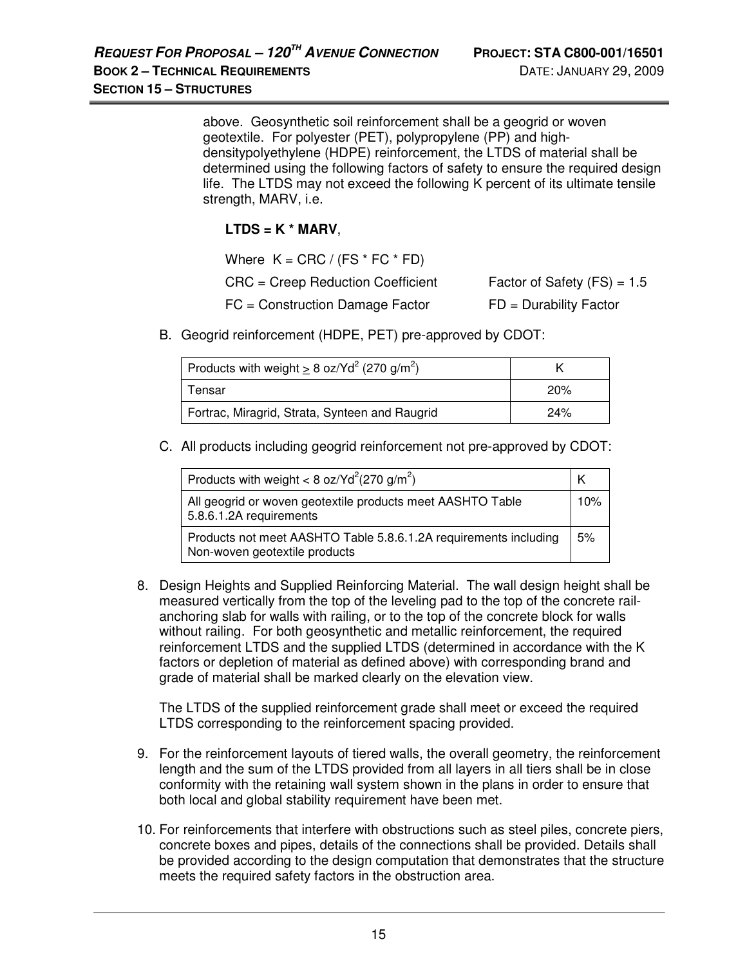above. Geosynthetic soil reinforcement shall be a geogrid or woven geotextile. For polyester (PET), polypropylene (PP) and highdensitypolyethylene (HDPE) reinforcement, the LTDS of material shall be determined using the following factors of safety to ensure the required design life. The LTDS may not exceed the following K percent of its ultimate tensile strength, MARV, i.e.

# **LTDS = K \* MARV**,

| Where $K = CRC / (FS * FC * FD)$    |                               |
|-------------------------------------|-------------------------------|
| $CRC = Creep Reduction Coefficient$ | Factor of Safety $(FS) = 1.5$ |
| $FC = Construction$ Damage Factor   | $FD = Durability Factor$      |

B. Geogrid reinforcement (HDPE, PET) pre-approved by CDOT:

| Products with weight $\geq 8$ oz/Yd <sup>2</sup> (270 g/m <sup>2</sup> ) |     |
|--------------------------------------------------------------------------|-----|
| Tensar                                                                   | 20% |
| Fortrac, Miragrid, Strata, Synteen and Raugrid                           | 24% |

C. All products including geogrid reinforcement not pre-approved by CDOT:

| Products with weight < 8 oz/Yd <sup>2</sup> (270 g/m <sup>2</sup> )                               |     |
|---------------------------------------------------------------------------------------------------|-----|
| All geogrid or woven geotextile products meet AASHTO Table<br>5.8.6.1.2A requirements             | 10% |
| Products not meet AASHTO Table 5.8.6.1.2A requirements including<br>Non-woven geotextile products | 5%  |

8. Design Heights and Supplied Reinforcing Material. The wall design height shall be measured vertically from the top of the leveling pad to the top of the concrete railanchoring slab for walls with railing, or to the top of the concrete block for walls without railing. For both geosynthetic and metallic reinforcement, the required reinforcement LTDS and the supplied LTDS (determined in accordance with the K factors or depletion of material as defined above) with corresponding brand and grade of material shall be marked clearly on the elevation view.

The LTDS of the supplied reinforcement grade shall meet or exceed the required LTDS corresponding to the reinforcement spacing provided.

- 9. For the reinforcement layouts of tiered walls, the overall geometry, the reinforcement length and the sum of the LTDS provided from all layers in all tiers shall be in close conformity with the retaining wall system shown in the plans in order to ensure that both local and global stability requirement have been met.
- 10. For reinforcements that interfere with obstructions such as steel piles, concrete piers, concrete boxes and pipes, details of the connections shall be provided. Details shall be provided according to the design computation that demonstrates that the structure meets the required safety factors in the obstruction area.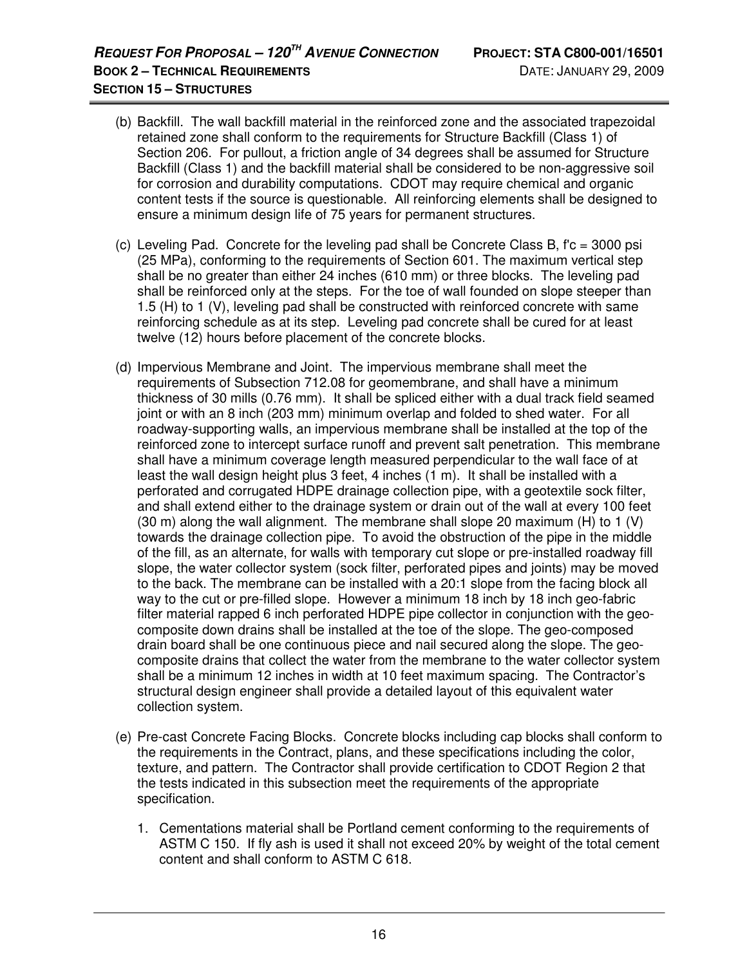- (b) Backfill. The wall backfill material in the reinforced zone and the associated trapezoidal retained zone shall conform to the requirements for Structure Backfill (Class 1) of Section 206. For pullout, a friction angle of 34 degrees shall be assumed for Structure Backfill (Class 1) and the backfill material shall be considered to be non-aggressive soil for corrosion and durability computations. CDOT may require chemical and organic content tests if the source is questionable. All reinforcing elements shall be designed to ensure a minimum design life of 75 years for permanent structures.
- (c) Leveling Pad. Concrete for the leveling pad shall be Concrete Class B, f'c = 3000 psi (25 MPa), conforming to the requirements of Section 601. The maximum vertical step shall be no greater than either 24 inches (610 mm) or three blocks. The leveling pad shall be reinforced only at the steps. For the toe of wall founded on slope steeper than 1.5 (H) to 1 (V), leveling pad shall be constructed with reinforced concrete with same reinforcing schedule as at its step. Leveling pad concrete shall be cured for at least twelve (12) hours before placement of the concrete blocks.
- (d) Impervious Membrane and Joint. The impervious membrane shall meet the requirements of Subsection 712.08 for geomembrane, and shall have a minimum thickness of 30 mills (0.76 mm). It shall be spliced either with a dual track field seamed joint or with an 8 inch (203 mm) minimum overlap and folded to shed water. For all roadway-supporting walls, an impervious membrane shall be installed at the top of the reinforced zone to intercept surface runoff and prevent salt penetration. This membrane shall have a minimum coverage length measured perpendicular to the wall face of at least the wall design height plus 3 feet, 4 inches (1 m). It shall be installed with a perforated and corrugated HDPE drainage collection pipe, with a geotextile sock filter, and shall extend either to the drainage system or drain out of the wall at every 100 feet (30 m) along the wall alignment. The membrane shall slope 20 maximum (H) to 1 (V) towards the drainage collection pipe. To avoid the obstruction of the pipe in the middle of the fill, as an alternate, for walls with temporary cut slope or pre-installed roadway fill slope, the water collector system (sock filter, perforated pipes and joints) may be moved to the back. The membrane can be installed with a 20:1 slope from the facing block all way to the cut or pre-filled slope. However a minimum 18 inch by 18 inch geo-fabric filter material rapped 6 inch perforated HDPE pipe collector in conjunction with the geocomposite down drains shall be installed at the toe of the slope. The geo-composed drain board shall be one continuous piece and nail secured along the slope. The geocomposite drains that collect the water from the membrane to the water collector system shall be a minimum 12 inches in width at 10 feet maximum spacing. The Contractor's structural design engineer shall provide a detailed layout of this equivalent water collection system.
- (e) Pre-cast Concrete Facing Blocks. Concrete blocks including cap blocks shall conform to the requirements in the Contract, plans, and these specifications including the color, texture, and pattern. The Contractor shall provide certification to CDOT Region 2 that the tests indicated in this subsection meet the requirements of the appropriate specification.
	- 1. Cementations material shall be Portland cement conforming to the requirements of ASTM C 150. If fly ash is used it shall not exceed 20% by weight of the total cement content and shall conform to ASTM C 618.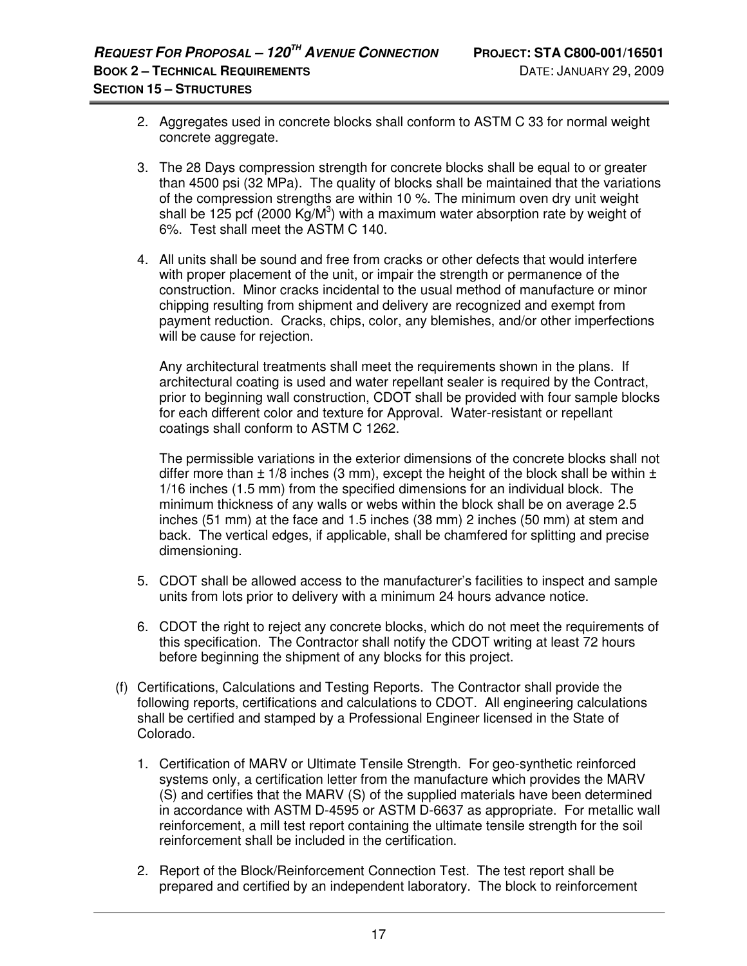- 2. Aggregates used in concrete blocks shall conform to ASTM C 33 for normal weight concrete aggregate.
- 3. The 28 Days compression strength for concrete blocks shall be equal to or greater than 4500 psi (32 MPa). The quality of blocks shall be maintained that the variations of the compression strengths are within 10 %. The minimum oven dry unit weight shall be 125 pcf (2000 Kg/M<sup>3</sup>) with a maximum water absorption rate by weight of 6%. Test shall meet the ASTM C 140.
- 4. All units shall be sound and free from cracks or other defects that would interfere with proper placement of the unit, or impair the strength or permanence of the construction. Minor cracks incidental to the usual method of manufacture or minor chipping resulting from shipment and delivery are recognized and exempt from payment reduction. Cracks, chips, color, any blemishes, and/or other imperfections will be cause for rejection.

 Any architectural treatments shall meet the requirements shown in the plans. If architectural coating is used and water repellant sealer is required by the Contract, prior to beginning wall construction, CDOT shall be provided with four sample blocks for each different color and texture for Approval. Water-resistant or repellant coatings shall conform to ASTM C 1262.

The permissible variations in the exterior dimensions of the concrete blocks shall not differ more than  $\pm$  1/8 inches (3 mm), except the height of the block shall be within  $\pm$ 1/16 inches (1.5 mm) from the specified dimensions for an individual block. The minimum thickness of any walls or webs within the block shall be on average 2.5 inches (51 mm) at the face and 1.5 inches (38 mm) 2 inches (50 mm) at stem and back. The vertical edges, if applicable, shall be chamfered for splitting and precise dimensioning.

- 5. CDOT shall be allowed access to the manufacturer's facilities to inspect and sample units from lots prior to delivery with a minimum 24 hours advance notice.
- 6. CDOT the right to reject any concrete blocks, which do not meet the requirements of this specification. The Contractor shall notify the CDOT writing at least 72 hours before beginning the shipment of any blocks for this project.
- (f) Certifications, Calculations and Testing Reports. The Contractor shall provide the following reports, certifications and calculations to CDOT. All engineering calculations shall be certified and stamped by a Professional Engineer licensed in the State of Colorado.
	- 1. Certification of MARV or Ultimate Tensile Strength. For geo-synthetic reinforced systems only, a certification letter from the manufacture which provides the MARV (S) and certifies that the MARV (S) of the supplied materials have been determined in accordance with ASTM D-4595 or ASTM D-6637 as appropriate. For metallic wall reinforcement, a mill test report containing the ultimate tensile strength for the soil reinforcement shall be included in the certification.
	- 2. Report of the Block/Reinforcement Connection Test. The test report shall be prepared and certified by an independent laboratory. The block to reinforcement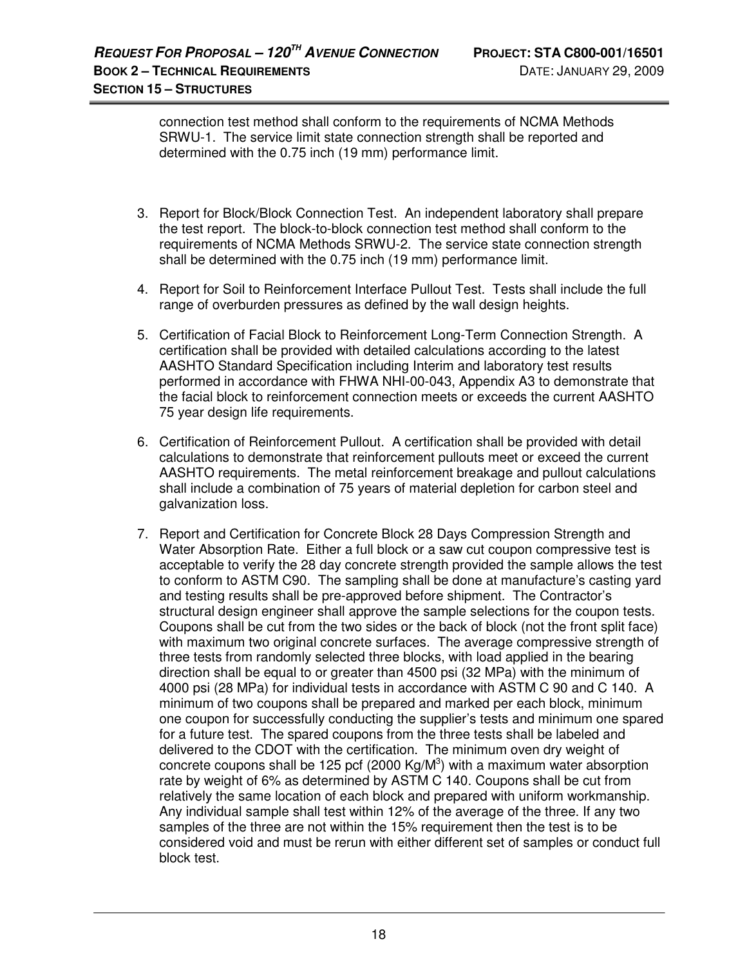connection test method shall conform to the requirements of NCMA Methods SRWU-1. The service limit state connection strength shall be reported and determined with the 0.75 inch (19 mm) performance limit.

- 3. Report for Block/Block Connection Test. An independent laboratory shall prepare the test report. The block-to-block connection test method shall conform to the requirements of NCMA Methods SRWU-2. The service state connection strength shall be determined with the 0.75 inch (19 mm) performance limit.
- 4. Report for Soil to Reinforcement Interface Pullout Test. Tests shall include the full range of overburden pressures as defined by the wall design heights.
- 5. Certification of Facial Block to Reinforcement Long-Term Connection Strength. A certification shall be provided with detailed calculations according to the latest AASHTO Standard Specification including Interim and laboratory test results performed in accordance with FHWA NHI-00-043, Appendix A3 to demonstrate that the facial block to reinforcement connection meets or exceeds the current AASHTO 75 year design life requirements.
- 6. Certification of Reinforcement Pullout. A certification shall be provided with detail calculations to demonstrate that reinforcement pullouts meet or exceed the current AASHTO requirements. The metal reinforcement breakage and pullout calculations shall include a combination of 75 years of material depletion for carbon steel and galvanization loss.
- 7. Report and Certification for Concrete Block 28 Days Compression Strength and Water Absorption Rate. Either a full block or a saw cut coupon compressive test is acceptable to verify the 28 day concrete strength provided the sample allows the test to conform to ASTM C90. The sampling shall be done at manufacture's casting yard and testing results shall be pre-approved before shipment. The Contractor's structural design engineer shall approve the sample selections for the coupon tests. Coupons shall be cut from the two sides or the back of block (not the front split face) with maximum two original concrete surfaces. The average compressive strength of three tests from randomly selected three blocks, with load applied in the bearing direction shall be equal to or greater than 4500 psi (32 MPa) with the minimum of 4000 psi (28 MPa) for individual tests in accordance with ASTM C 90 and C 140. A minimum of two coupons shall be prepared and marked per each block, minimum one coupon for successfully conducting the supplier's tests and minimum one spared for a future test. The spared coupons from the three tests shall be labeled and delivered to the CDOT with the certification. The minimum oven dry weight of concrete coupons shall be 125 pcf (2000 Kg/M<sup>3</sup>) with a maximum water absorption rate by weight of 6% as determined by ASTM C 140. Coupons shall be cut from relatively the same location of each block and prepared with uniform workmanship. Any individual sample shall test within 12% of the average of the three. If any two samples of the three are not within the 15% requirement then the test is to be considered void and must be rerun with either different set of samples or conduct full block test.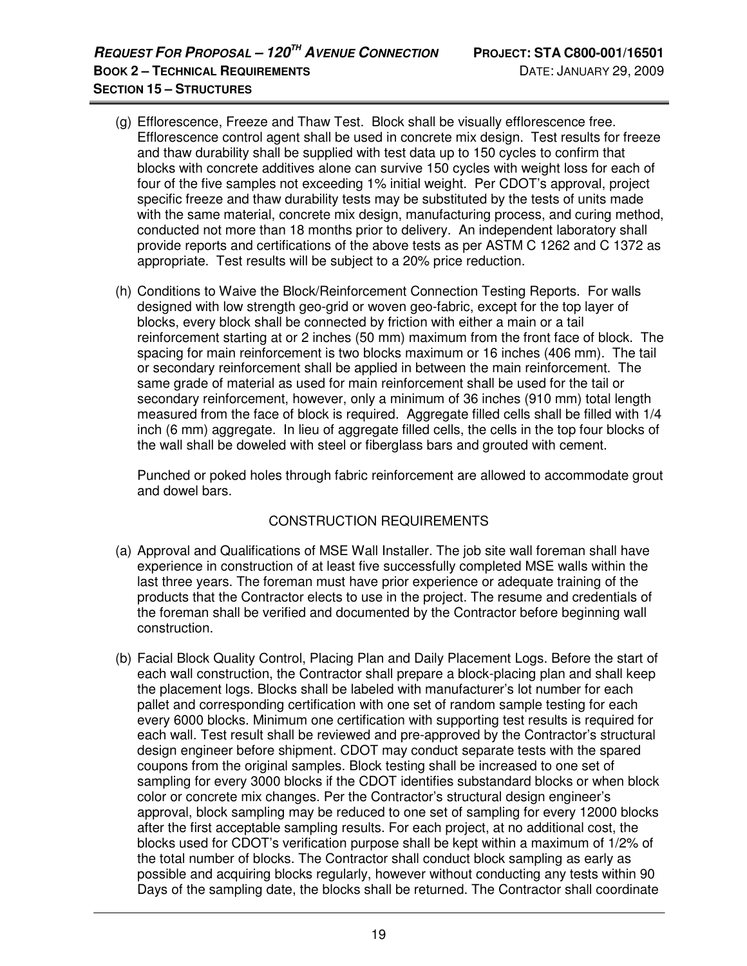- (g) Efflorescence, Freeze and Thaw Test. Block shall be visually efflorescence free. Efflorescence control agent shall be used in concrete mix design. Test results for freeze and thaw durability shall be supplied with test data up to 150 cycles to confirm that blocks with concrete additives alone can survive 150 cycles with weight loss for each of four of the five samples not exceeding 1% initial weight. Per CDOT's approval, project specific freeze and thaw durability tests may be substituted by the tests of units made with the same material, concrete mix design, manufacturing process, and curing method, conducted not more than 18 months prior to delivery. An independent laboratory shall provide reports and certifications of the above tests as per ASTM C 1262 and C 1372 as appropriate. Test results will be subject to a 20% price reduction.
- (h) Conditions to Waive the Block/Reinforcement Connection Testing Reports. For walls designed with low strength geo-grid or woven geo-fabric, except for the top layer of blocks, every block shall be connected by friction with either a main or a tail reinforcement starting at or 2 inches (50 mm) maximum from the front face of block. The spacing for main reinforcement is two blocks maximum or 16 inches (406 mm). The tail or secondary reinforcement shall be applied in between the main reinforcement. The same grade of material as used for main reinforcement shall be used for the tail or secondary reinforcement, however, only a minimum of 36 inches (910 mm) total length measured from the face of block is required. Aggregate filled cells shall be filled with 1/4 inch (6 mm) aggregate. In lieu of aggregate filled cells, the cells in the top four blocks of the wall shall be doweled with steel or fiberglass bars and grouted with cement.

Punched or poked holes through fabric reinforcement are allowed to accommodate grout and dowel bars.

# CONSTRUCTION REQUIREMENTS

- (a) Approval and Qualifications of MSE Wall Installer. The job site wall foreman shall have experience in construction of at least five successfully completed MSE walls within the last three years. The foreman must have prior experience or adequate training of the products that the Contractor elects to use in the project. The resume and credentials of the foreman shall be verified and documented by the Contractor before beginning wall construction.
- (b) Facial Block Quality Control, Placing Plan and Daily Placement Logs. Before the start of each wall construction, the Contractor shall prepare a block-placing plan and shall keep the placement logs. Blocks shall be labeled with manufacturer's lot number for each pallet and corresponding certification with one set of random sample testing for each every 6000 blocks. Minimum one certification with supporting test results is required for each wall. Test result shall be reviewed and pre-approved by the Contractor's structural design engineer before shipment. CDOT may conduct separate tests with the spared coupons from the original samples. Block testing shall be increased to one set of sampling for every 3000 blocks if the CDOT identifies substandard blocks or when block color or concrete mix changes. Per the Contractor's structural design engineer's approval, block sampling may be reduced to one set of sampling for every 12000 blocks after the first acceptable sampling results. For each project, at no additional cost, the blocks used for CDOT's verification purpose shall be kept within a maximum of 1/2% of the total number of blocks. The Contractor shall conduct block sampling as early as possible and acquiring blocks regularly, however without conducting any tests within 90 Days of the sampling date, the blocks shall be returned. The Contractor shall coordinate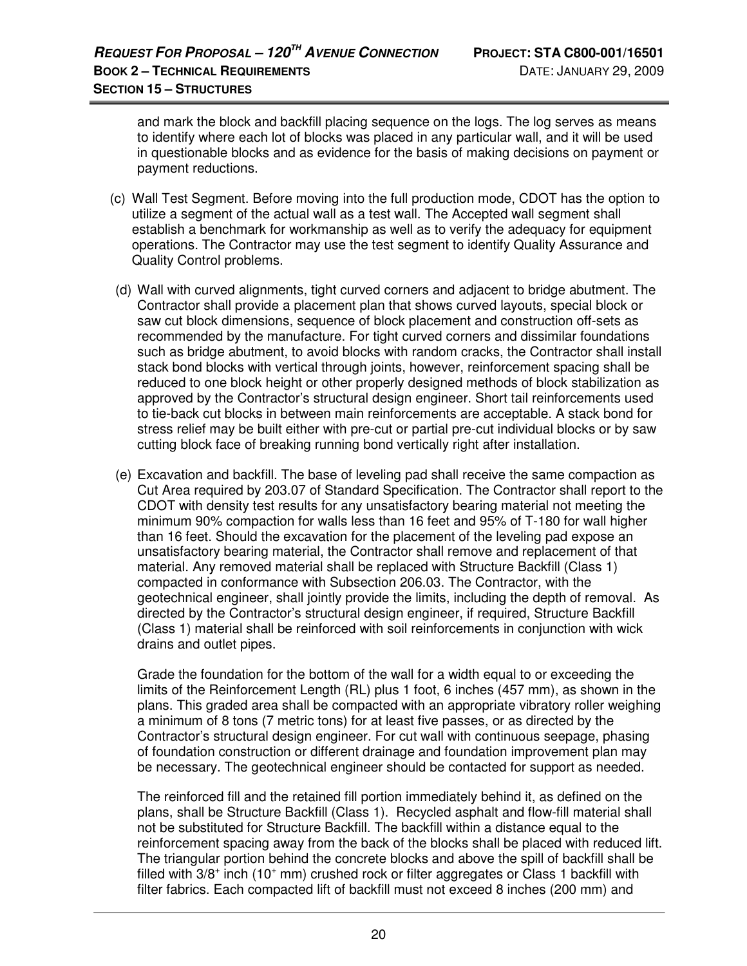and mark the block and backfill placing sequence on the logs. The log serves as means to identify where each lot of blocks was placed in any particular wall, and it will be used in questionable blocks and as evidence for the basis of making decisions on payment or payment reductions.

- (c) Wall Test Segment. Before moving into the full production mode, CDOT has the option to utilize a segment of the actual wall as a test wall. The Accepted wall segment shall establish a benchmark for workmanship as well as to verify the adequacy for equipment operations. The Contractor may use the test segment to identify Quality Assurance and Quality Control problems.
- (d) Wall with curved alignments, tight curved corners and adjacent to bridge abutment. The Contractor shall provide a placement plan that shows curved layouts, special block or saw cut block dimensions, sequence of block placement and construction off-sets as recommended by the manufacture. For tight curved corners and dissimilar foundations such as bridge abutment, to avoid blocks with random cracks, the Contractor shall install stack bond blocks with vertical through joints, however, reinforcement spacing shall be reduced to one block height or other properly designed methods of block stabilization as approved by the Contractor's structural design engineer. Short tail reinforcements used to tie-back cut blocks in between main reinforcements are acceptable. A stack bond for stress relief may be built either with pre-cut or partial pre-cut individual blocks or by saw cutting block face of breaking running bond vertically right after installation.
- (e) Excavation and backfill. The base of leveling pad shall receive the same compaction as Cut Area required by 203.07 of Standard Specification. The Contractor shall report to the CDOT with density test results for any unsatisfactory bearing material not meeting the minimum 90% compaction for walls less than 16 feet and 95% of T-180 for wall higher than 16 feet. Should the excavation for the placement of the leveling pad expose an unsatisfactory bearing material, the Contractor shall remove and replacement of that material. Any removed material shall be replaced with Structure Backfill (Class 1) compacted in conformance with Subsection 206.03. The Contractor, with the geotechnical engineer, shall jointly provide the limits, including the depth of removal. As directed by the Contractor's structural design engineer, if required, Structure Backfill (Class 1) material shall be reinforced with soil reinforcements in conjunction with wick drains and outlet pipes.

Grade the foundation for the bottom of the wall for a width equal to or exceeding the limits of the Reinforcement Length (RL) plus 1 foot, 6 inches (457 mm), as shown in the plans. This graded area shall be compacted with an appropriate vibratory roller weighing a minimum of 8 tons (7 metric tons) for at least five passes, or as directed by the Contractor's structural design engineer. For cut wall with continuous seepage, phasing of foundation construction or different drainage and foundation improvement plan may be necessary. The geotechnical engineer should be contacted for support as needed.

The reinforced fill and the retained fill portion immediately behind it, as defined on the plans, shall be Structure Backfill (Class 1). Recycled asphalt and flow-fill material shall not be substituted for Structure Backfill. The backfill within a distance equal to the reinforcement spacing away from the back of the blocks shall be placed with reduced lift. The triangular portion behind the concrete blocks and above the spill of backfill shall be filled with 3/8<sup>+</sup> inch (10<sup>+</sup> mm) crushed rock or filter aggregates or Class 1 backfill with filter fabrics. Each compacted lift of backfill must not exceed 8 inches (200 mm) and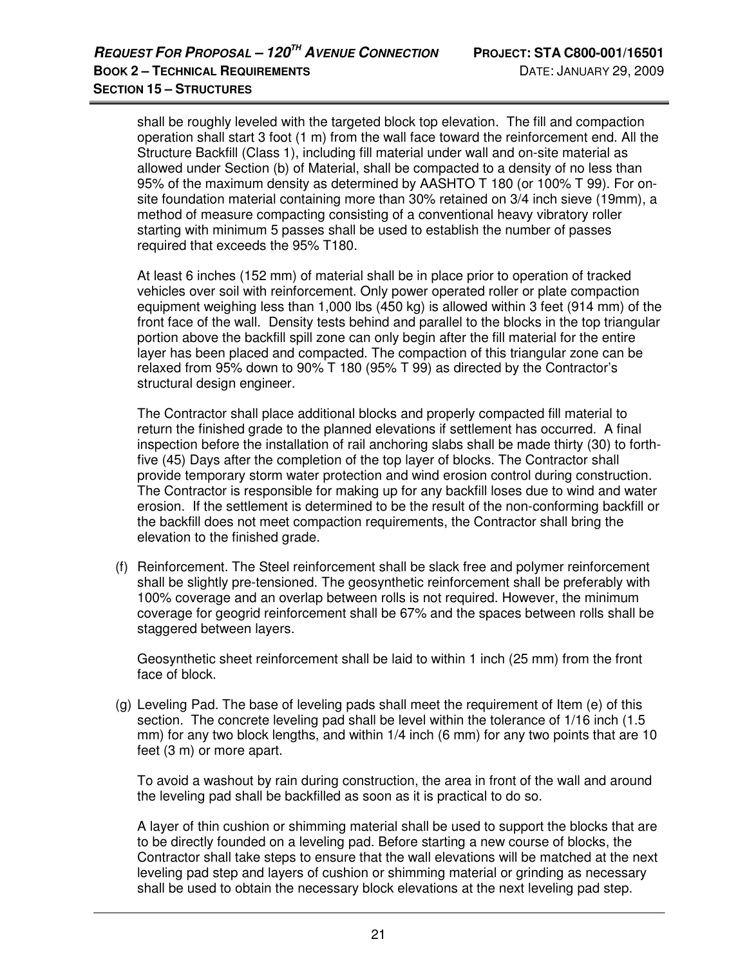shall be roughly leveled with the targeted block top elevation. The fill and compaction operation shall start 3 foot (1 m) from the wall face toward the reinforcement end. All the Structure Backfill (Class 1), including fill material under wall and on-site material as allowed under Section (b) of Material, shall be compacted to a density of no less than 95% of the maximum density as determined by AASHTO T 180 (or 100% T 99). For onsite foundation material containing more than 30% retained on 3/4 inch sieve (19mm), a method of measure compacting consisting of a conventional heavy vibratory roller starting with minimum 5 passes shall be used to establish the number of passes required that exceeds the 95% T180.

At least 6 inches (152 mm) of material shall be in place prior to operation of tracked vehicles over soil with reinforcement. Only power operated roller or plate compaction equipment weighing less than 1,000 lbs (450 kg) is allowed within 3 feet (914 mm) of the front face of the wall. Density tests behind and parallel to the blocks in the top triangular portion above the backfill spill zone can only begin after the fill material for the entire layer has been placed and compacted. The compaction of this triangular zone can be relaxed from 95% down to 90% T 180 (95% T 99) as directed by the Contractor's structural design engineer.

The Contractor shall place additional blocks and properly compacted fill material to return the finished grade to the planned elevations if settlement has occurred. A final inspection before the installation of rail anchoring slabs shall be made thirty (30) to forthfive (45) Days after the completion of the top layer of blocks. The Contractor shall provide temporary storm water protection and wind erosion control during construction. The Contractor is responsible for making up for any backfill loses due to wind and water erosion. If the settlement is determined to be the result of the non-conforming backfill or the backfill does not meet compaction requirements, the Contractor shall bring the elevation to the finished grade.

(f) Reinforcement. The Steel reinforcement shall be slack free and polymer reinforcement shall be slightly pre-tensioned. The geosynthetic reinforcement shall be preferably with 100% coverage and an overlap between rolls is not required. However, the minimum coverage for geogrid reinforcement shall be 67% and the spaces between rolls shall be staggered between layers.

 Geosynthetic sheet reinforcement shall be laid to within 1 inch (25 mm) from the front face of block.

(g) Leveling Pad. The base of leveling pads shall meet the requirement of Item (e) of this section. The concrete leveling pad shall be level within the tolerance of 1/16 inch (1.5 mm) for any two block lengths, and within 1/4 inch (6 mm) for any two points that are 10 feet (3 m) or more apart.

To avoid a washout by rain during construction, the area in front of the wall and around the leveling pad shall be backfilled as soon as it is practical to do so.

 A layer of thin cushion or shimming material shall be used to support the blocks that are to be directly founded on a leveling pad. Before starting a new course of blocks, the Contractor shall take steps to ensure that the wall elevations will be matched at the next leveling pad step and layers of cushion or shimming material or grinding as necessary shall be used to obtain the necessary block elevations at the next leveling pad step.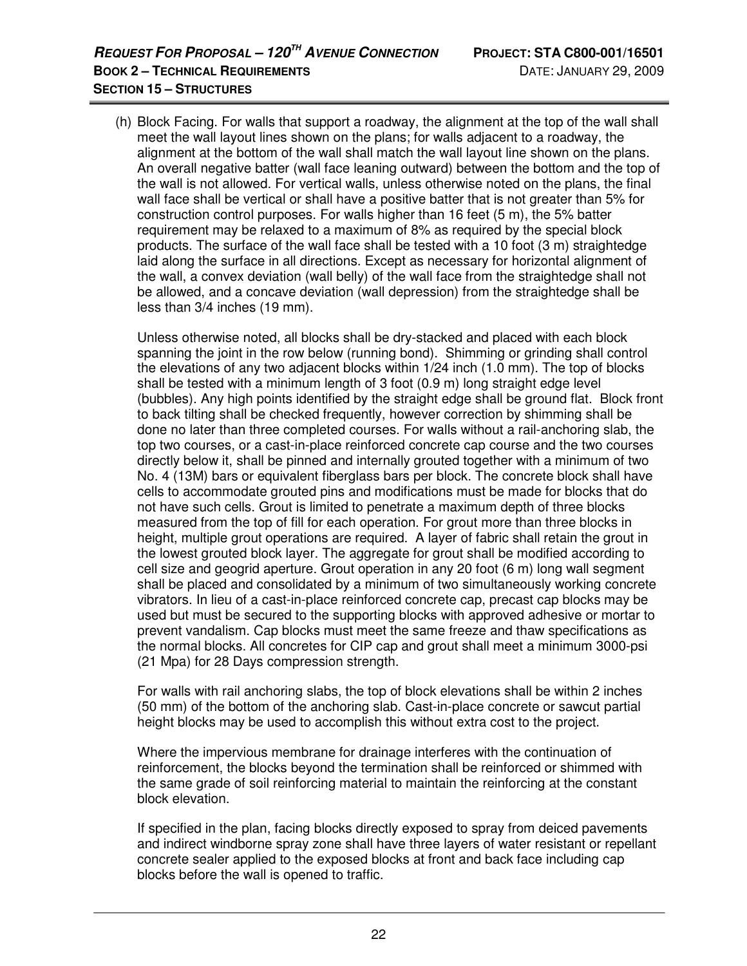(h) Block Facing. For walls that support a roadway, the alignment at the top of the wall shall meet the wall layout lines shown on the plans; for walls adjacent to a roadway, the alignment at the bottom of the wall shall match the wall layout line shown on the plans. An overall negative batter (wall face leaning outward) between the bottom and the top of the wall is not allowed. For vertical walls, unless otherwise noted on the plans, the final wall face shall be vertical or shall have a positive batter that is not greater than 5% for construction control purposes. For walls higher than 16 feet (5 m), the 5% batter requirement may be relaxed to a maximum of 8% as required by the special block products. The surface of the wall face shall be tested with a 10 foot (3 m) straightedge laid along the surface in all directions. Except as necessary for horizontal alignment of the wall, a convex deviation (wall belly) of the wall face from the straightedge shall not be allowed, and a concave deviation (wall depression) from the straightedge shall be less than 3/4 inches (19 mm).

 Unless otherwise noted, all blocks shall be dry-stacked and placed with each block spanning the joint in the row below (running bond). Shimming or grinding shall control the elevations of any two adjacent blocks within 1/24 inch (1.0 mm). The top of blocks shall be tested with a minimum length of 3 foot (0.9 m) long straight edge level (bubbles). Any high points identified by the straight edge shall be ground flat. Block front to back tilting shall be checked frequently, however correction by shimming shall be done no later than three completed courses. For walls without a rail-anchoring slab, the top two courses, or a cast-in-place reinforced concrete cap course and the two courses directly below it, shall be pinned and internally grouted together with a minimum of two No. 4 (13M) bars or equivalent fiberglass bars per block. The concrete block shall have cells to accommodate grouted pins and modifications must be made for blocks that do not have such cells. Grout is limited to penetrate a maximum depth of three blocks measured from the top of fill for each operation. For grout more than three blocks in height, multiple grout operations are required. A layer of fabric shall retain the grout in the lowest grouted block layer. The aggregate for grout shall be modified according to cell size and geogrid aperture. Grout operation in any 20 foot (6 m) long wall segment shall be placed and consolidated by a minimum of two simultaneously working concrete vibrators. In lieu of a cast-in-place reinforced concrete cap, precast cap blocks may be used but must be secured to the supporting blocks with approved adhesive or mortar to prevent vandalism. Cap blocks must meet the same freeze and thaw specifications as the normal blocks. All concretes for CIP cap and grout shall meet a minimum 3000-psi (21 Mpa) for 28 Days compression strength.

 For walls with rail anchoring slabs, the top of block elevations shall be within 2 inches (50 mm) of the bottom of the anchoring slab. Cast-in-place concrete or sawcut partial height blocks may be used to accomplish this without extra cost to the project.

 Where the impervious membrane for drainage interferes with the continuation of reinforcement, the blocks beyond the termination shall be reinforced or shimmed with the same grade of soil reinforcing material to maintain the reinforcing at the constant block elevation.

 If specified in the plan, facing blocks directly exposed to spray from deiced pavements and indirect windborne spray zone shall have three layers of water resistant or repellant concrete sealer applied to the exposed blocks at front and back face including cap blocks before the wall is opened to traffic.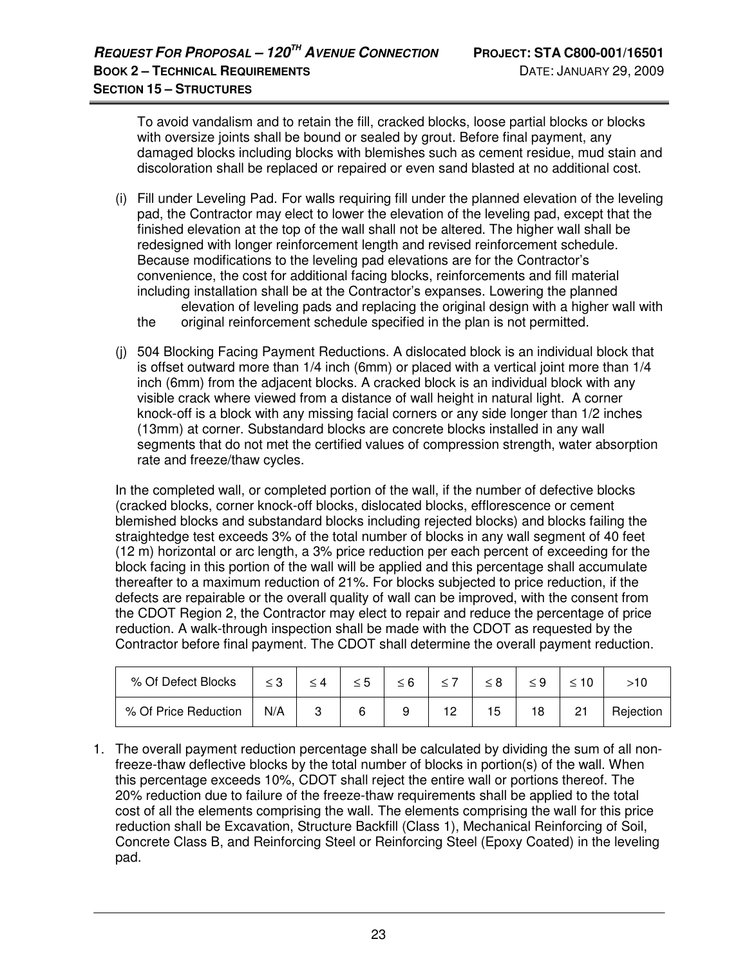To avoid vandalism and to retain the fill, cracked blocks, loose partial blocks or blocks with oversize joints shall be bound or sealed by grout. Before final payment, any damaged blocks including blocks with blemishes such as cement residue, mud stain and discoloration shall be replaced or repaired or even sand blasted at no additional cost.

- (i) Fill under Leveling Pad. For walls requiring fill under the planned elevation of the leveling pad, the Contractor may elect to lower the elevation of the leveling pad, except that the finished elevation at the top of the wall shall not be altered. The higher wall shall be redesigned with longer reinforcement length and revised reinforcement schedule. Because modifications to the leveling pad elevations are for the Contractor's convenience, the cost for additional facing blocks, reinforcements and fill material including installation shall be at the Contractor's expanses. Lowering the planned elevation of leveling pads and replacing the original design with a higher wall with
	- the original reinforcement schedule specified in the plan is not permitted.
- (j) 504 Blocking Facing Payment Reductions. A dislocated block is an individual block that is offset outward more than 1/4 inch (6mm) or placed with a vertical joint more than 1/4 inch (6mm) from the adjacent blocks. A cracked block is an individual block with any visible crack where viewed from a distance of wall height in natural light. A corner knock-off is a block with any missing facial corners or any side longer than 1/2 inches (13mm) at corner. Substandard blocks are concrete blocks installed in any wall segments that do not met the certified values of compression strength, water absorption rate and freeze/thaw cycles.

In the completed wall, or completed portion of the wall, if the number of defective blocks (cracked blocks, corner knock-off blocks, dislocated blocks, efflorescence or cement blemished blocks and substandard blocks including rejected blocks) and blocks failing the straightedge test exceeds 3% of the total number of blocks in any wall segment of 40 feet (12 m) horizontal or arc length, a 3% price reduction per each percent of exceeding for the block facing in this portion of the wall will be applied and this percentage shall accumulate thereafter to a maximum reduction of 21%. For blocks subjected to price reduction, if the defects are repairable or the overall quality of wall can be improved, with the consent from the CDOT Region 2, the Contractor may elect to repair and reduce the percentage of price reduction. A walk-through inspection shall be made with the CDOT as requested by the Contractor before final payment. The CDOT shall determine the overall payment reduction.

| % Of Defect Blocks   |     |  |  |    |  |           |
|----------------------|-----|--|--|----|--|-----------|
| % Of Price Reduction | N/A |  |  | 'ఏ |  | Rejection |

1. The overall payment reduction percentage shall be calculated by dividing the sum of all nonfreeze-thaw deflective blocks by the total number of blocks in portion(s) of the wall. When this percentage exceeds 10%, CDOT shall reject the entire wall or portions thereof. The 20% reduction due to failure of the freeze-thaw requirements shall be applied to the total cost of all the elements comprising the wall. The elements comprising the wall for this price reduction shall be Excavation, Structure Backfill (Class 1), Mechanical Reinforcing of Soil, Concrete Class B, and Reinforcing Steel or Reinforcing Steel (Epoxy Coated) in the leveling pad.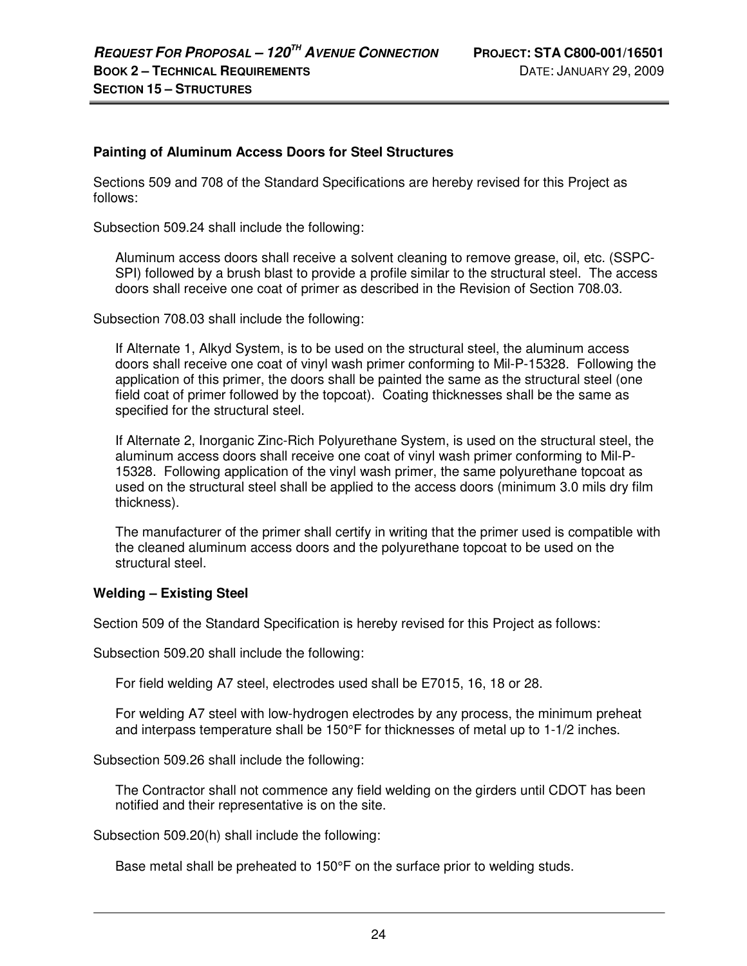#### **Painting of Aluminum Access Doors for Steel Structures**

Sections 509 and 708 of the Standard Specifications are hereby revised for this Project as follows:

Subsection 509.24 shall include the following:

Aluminum access doors shall receive a solvent cleaning to remove grease, oil, etc. (SSPC-SPI) followed by a brush blast to provide a profile similar to the structural steel. The access doors shall receive one coat of primer as described in the Revision of Section 708.03.

Subsection 708.03 shall include the following:

If Alternate 1, Alkyd System, is to be used on the structural steel, the aluminum access doors shall receive one coat of vinyl wash primer conforming to Mil-P-15328. Following the application of this primer, the doors shall be painted the same as the structural steel (one field coat of primer followed by the topcoat). Coating thicknesses shall be the same as specified for the structural steel.

If Alternate 2, Inorganic Zinc-Rich Polyurethane System, is used on the structural steel, the aluminum access doors shall receive one coat of vinyl wash primer conforming to Mil-P-15328. Following application of the vinyl wash primer, the same polyurethane topcoat as used on the structural steel shall be applied to the access doors (minimum 3.0 mils dry film thickness).

The manufacturer of the primer shall certify in writing that the primer used is compatible with the cleaned aluminum access doors and the polyurethane topcoat to be used on the structural steel.

#### **Welding – Existing Steel**

Section 509 of the Standard Specification is hereby revised for this Project as follows:

Subsection 509.20 shall include the following:

For field welding A7 steel, electrodes used shall be E7015, 16, 18 or 28.

For welding A7 steel with low-hydrogen electrodes by any process, the minimum preheat and interpass temperature shall be 150°F for thicknesses of metal up to 1-1/2 inches.

Subsection 509.26 shall include the following:

The Contractor shall not commence any field welding on the girders until CDOT has been notified and their representative is on the site.

Subsection 509.20(h) shall include the following:

Base metal shall be preheated to 150°F on the surface prior to welding studs.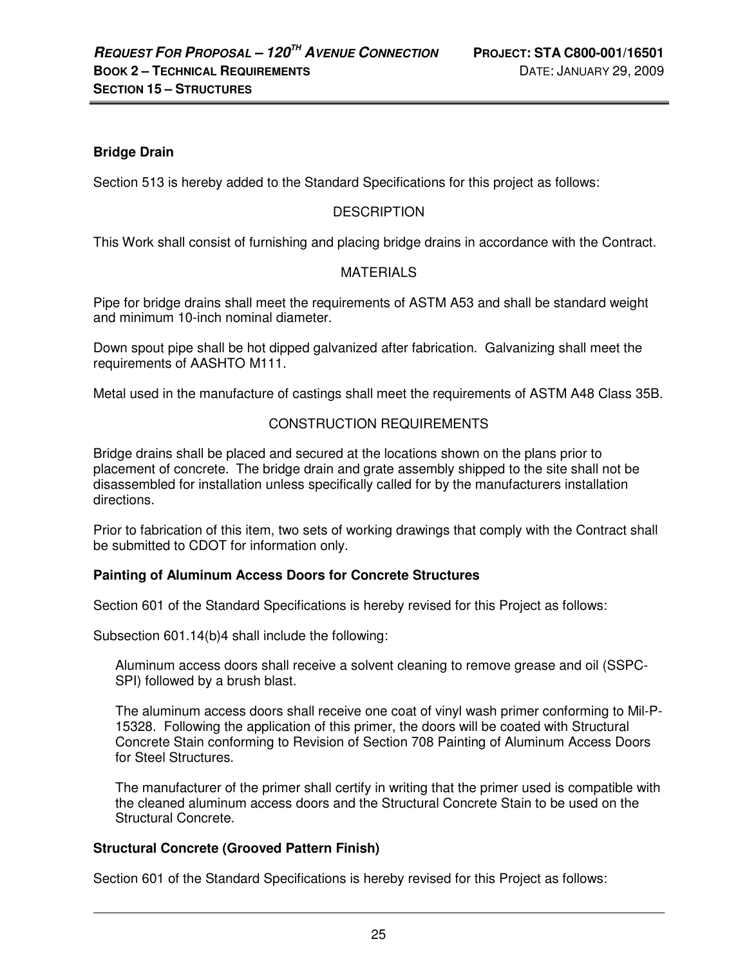# **Bridge Drain**

Section 513 is hereby added to the Standard Specifications for this project as follows:

# **DESCRIPTION**

This Work shall consist of furnishing and placing bridge drains in accordance with the Contract.

## **MATERIALS**

Pipe for bridge drains shall meet the requirements of ASTM A53 and shall be standard weight and minimum 10-inch nominal diameter.

Down spout pipe shall be hot dipped galvanized after fabrication. Galvanizing shall meet the requirements of AASHTO M111.

Metal used in the manufacture of castings shall meet the requirements of ASTM A48 Class 35B.

## CONSTRUCTION REQUIREMENTS

Bridge drains shall be placed and secured at the locations shown on the plans prior to placement of concrete. The bridge drain and grate assembly shipped to the site shall not be disassembled for installation unless specifically called for by the manufacturers installation directions.

Prior to fabrication of this item, two sets of working drawings that comply with the Contract shall be submitted to CDOT for information only.

#### **Painting of Aluminum Access Doors for Concrete Structures**

Section 601 of the Standard Specifications is hereby revised for this Project as follows:

Subsection 601.14(b)4 shall include the following:

Aluminum access doors shall receive a solvent cleaning to remove grease and oil (SSPC-SPI) followed by a brush blast.

The aluminum access doors shall receive one coat of vinyl wash primer conforming to Mil-P-15328. Following the application of this primer, the doors will be coated with Structural Concrete Stain conforming to Revision of Section 708 Painting of Aluminum Access Doors for Steel Structures.

The manufacturer of the primer shall certify in writing that the primer used is compatible with the cleaned aluminum access doors and the Structural Concrete Stain to be used on the Structural Concrete.

#### **Structural Concrete (Grooved Pattern Finish)**

Section 601 of the Standard Specifications is hereby revised for this Project as follows: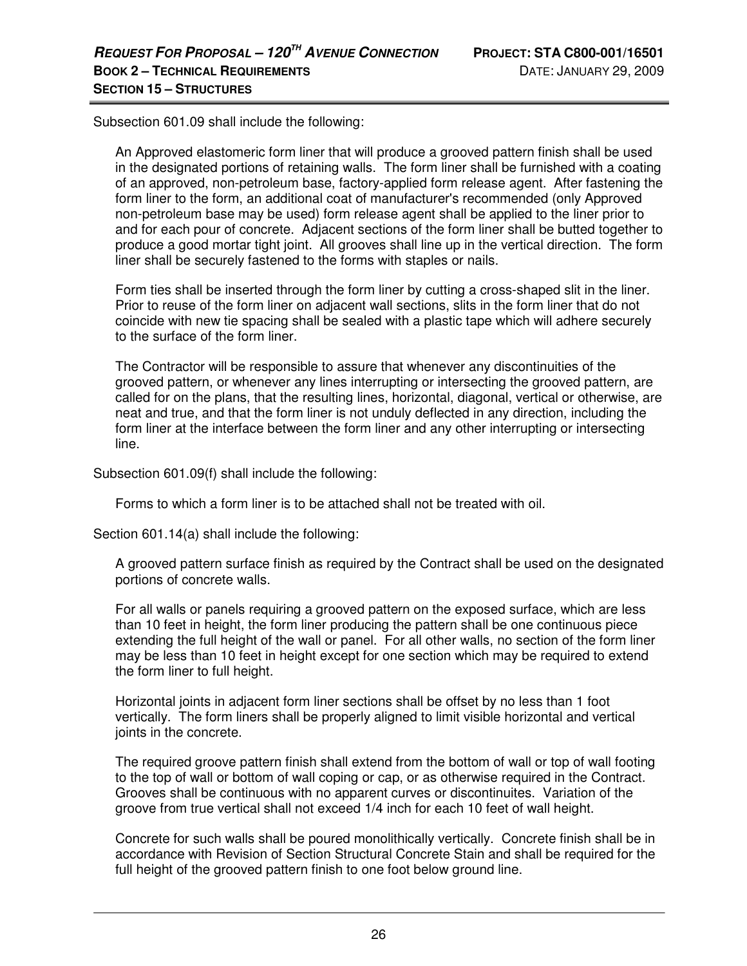Subsection 601.09 shall include the following:

An Approved elastomeric form liner that will produce a grooved pattern finish shall be used in the designated portions of retaining walls. The form liner shall be furnished with a coating of an approved, non-petroleum base, factory-applied form release agent. After fastening the form liner to the form, an additional coat of manufacturer's recommended (only Approved non-petroleum base may be used) form release agent shall be applied to the liner prior to and for each pour of concrete. Adjacent sections of the form liner shall be butted together to produce a good mortar tight joint. All grooves shall line up in the vertical direction. The form liner shall be securely fastened to the forms with staples or nails.

Form ties shall be inserted through the form liner by cutting a cross-shaped slit in the liner. Prior to reuse of the form liner on adjacent wall sections, slits in the form liner that do not coincide with new tie spacing shall be sealed with a plastic tape which will adhere securely to the surface of the form liner.

The Contractor will be responsible to assure that whenever any discontinuities of the grooved pattern, or whenever any lines interrupting or intersecting the grooved pattern, are called for on the plans, that the resulting lines, horizontal, diagonal, vertical or otherwise, are neat and true, and that the form liner is not unduly deflected in any direction, including the form liner at the interface between the form liner and any other interrupting or intersecting line.

Subsection 601.09(f) shall include the following:

Forms to which a form liner is to be attached shall not be treated with oil.

Section 601.14(a) shall include the following:

A grooved pattern surface finish as required by the Contract shall be used on the designated portions of concrete walls.

For all walls or panels requiring a grooved pattern on the exposed surface, which are less than 10 feet in height, the form liner producing the pattern shall be one continuous piece extending the full height of the wall or panel. For all other walls, no section of the form liner may be less than 10 feet in height except for one section which may be required to extend the form liner to full height.

Horizontal joints in adjacent form liner sections shall be offset by no less than 1 foot vertically. The form liners shall be properly aligned to limit visible horizontal and vertical joints in the concrete.

The required groove pattern finish shall extend from the bottom of wall or top of wall footing to the top of wall or bottom of wall coping or cap, or as otherwise required in the Contract. Grooves shall be continuous with no apparent curves or discontinuites. Variation of the groove from true vertical shall not exceed 1/4 inch for each 10 feet of wall height.

Concrete for such walls shall be poured monolithically vertically. Concrete finish shall be in accordance with Revision of Section Structural Concrete Stain and shall be required for the full height of the grooved pattern finish to one foot below ground line.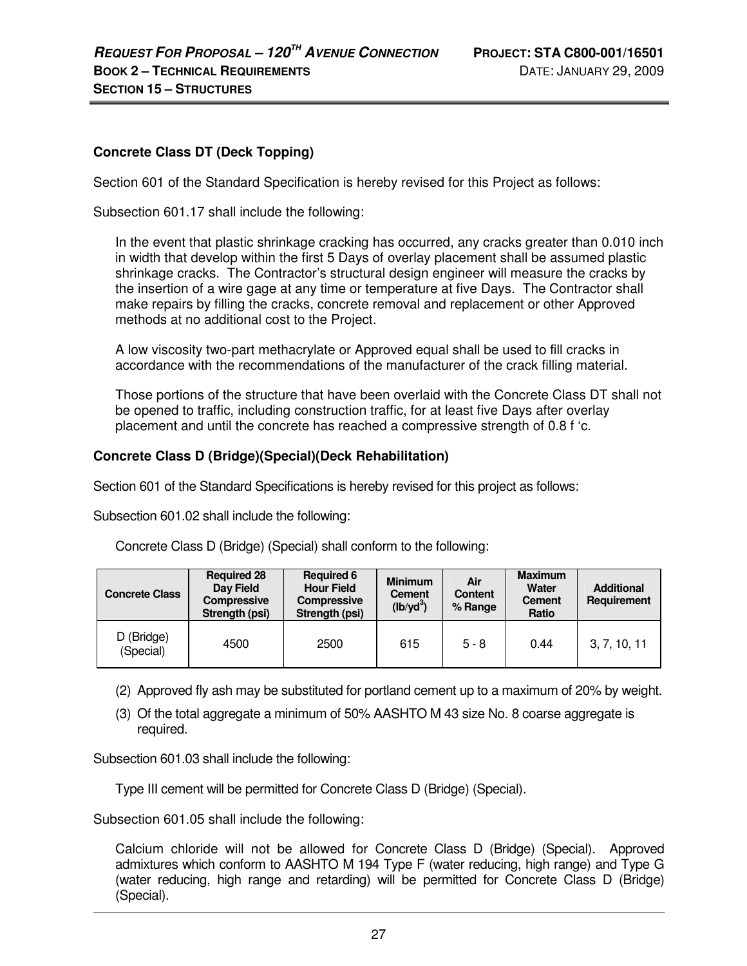# **Concrete Class DT (Deck Topping)**

Section 601 of the Standard Specification is hereby revised for this Project as follows:

Subsection 601.17 shall include the following:

In the event that plastic shrinkage cracking has occurred, any cracks greater than 0.010 inch in width that develop within the first 5 Days of overlay placement shall be assumed plastic shrinkage cracks. The Contractor's structural design engineer will measure the cracks by the insertion of a wire gage at any time or temperature at five Days. The Contractor shall make repairs by filling the cracks, concrete removal and replacement or other Approved methods at no additional cost to the Project.

A low viscosity two-part methacrylate or Approved equal shall be used to fill cracks in accordance with the recommendations of the manufacturer of the crack filling material.

Those portions of the structure that have been overlaid with the Concrete Class DT shall not be opened to traffic, including construction traffic, for at least five Days after overlay placement and until the concrete has reached a compressive strength of 0.8 f 'c.

#### **Concrete Class D (Bridge)(Special)(Deck Rehabilitation)**

Section 601 of the Standard Specifications is hereby revised for this project as follows:

Subsection 601.02 shall include the following:

Concrete Class D (Bridge) (Special) shall conform to the following:

| <b>Concrete Class</b>   | <b>Required 28</b><br>Day Field<br><b>Compressive</b><br>Strength (psi) | <b>Required 6</b><br><b>Hour Field</b><br><b>Compressive</b><br>Strength (psi) | <b>Minimum</b><br><b>Cement</b><br>$(lb/yd^3)$ | Air<br><b>Content</b><br>% Range | <b>Maximum</b><br>Water<br><b>Cement</b><br>Ratio | <b>Additional</b><br>Requirement |
|-------------------------|-------------------------------------------------------------------------|--------------------------------------------------------------------------------|------------------------------------------------|----------------------------------|---------------------------------------------------|----------------------------------|
| D (Bridge)<br>(Special) | 4500                                                                    | 2500                                                                           | 615                                            | $5 - 8$                          | 0.44                                              | 3, 7, 10, 11                     |

- (2) Approved fly ash may be substituted for portland cement up to a maximum of 20% by weight.
- (3) Of the total aggregate a minimum of 50% AASHTO M 43 size No. 8 coarse aggregate is required.

Subsection 601.03 shall include the following:

Type III cement will be permitted for Concrete Class D (Bridge) (Special).

Subsection 601.05 shall include the following:

Calcium chloride will not be allowed for Concrete Class D (Bridge) (Special). Approved admixtures which conform to AASHTO M 194 Type F (water reducing, high range) and Type G (water reducing, high range and retarding) will be permitted for Concrete Class D (Bridge) (Special).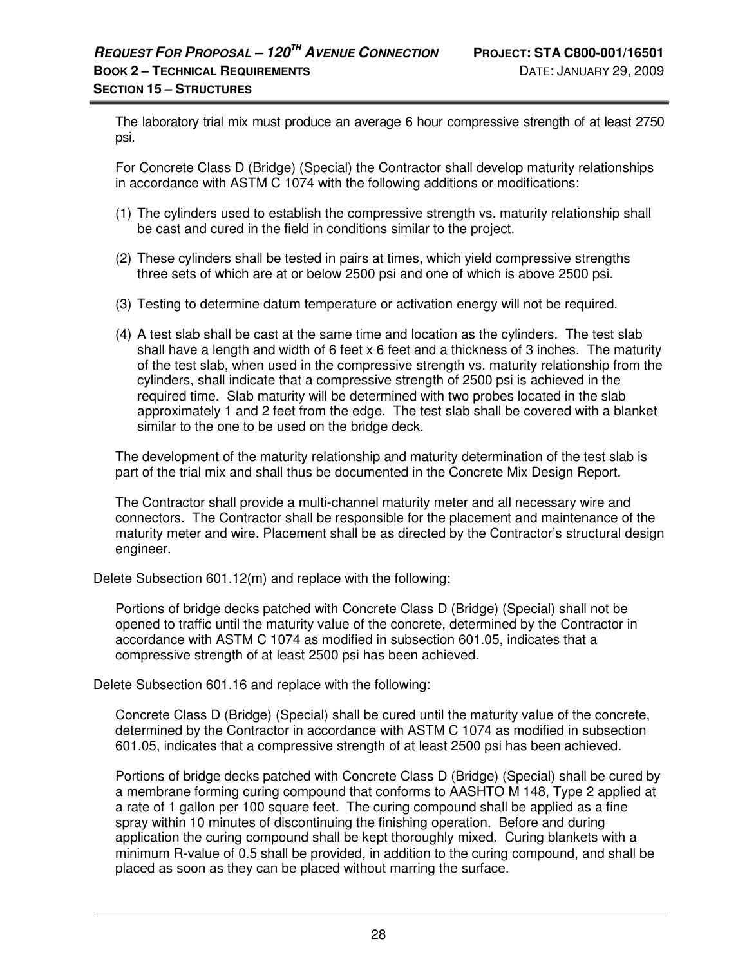The laboratory trial mix must produce an average 6 hour compressive strength of at least 2750 psi.

For Concrete Class D (Bridge) (Special) the Contractor shall develop maturity relationships in accordance with ASTM C 1074 with the following additions or modifications:

- (1) The cylinders used to establish the compressive strength vs. maturity relationship shall be cast and cured in the field in conditions similar to the project.
- (2) These cylinders shall be tested in pairs at times, which yield compressive strengths three sets of which are at or below 2500 psi and one of which is above 2500 psi.
- (3) Testing to determine datum temperature or activation energy will not be required.
- (4) A test slab shall be cast at the same time and location as the cylinders. The test slab shall have a length and width of 6 feet x 6 feet and a thickness of 3 inches. The maturity of the test slab, when used in the compressive strength vs. maturity relationship from the cylinders, shall indicate that a compressive strength of 2500 psi is achieved in the required time. Slab maturity will be determined with two probes located in the slab approximately 1 and 2 feet from the edge. The test slab shall be covered with a blanket similar to the one to be used on the bridge deck.

The development of the maturity relationship and maturity determination of the test slab is part of the trial mix and shall thus be documented in the Concrete Mix Design Report.

The Contractor shall provide a multi-channel maturity meter and all necessary wire and connectors. The Contractor shall be responsible for the placement and maintenance of the maturity meter and wire. Placement shall be as directed by the Contractor's structural design engineer.

Delete Subsection 601.12(m) and replace with the following:

Portions of bridge decks patched with Concrete Class D (Bridge) (Special) shall not be opened to traffic until the maturity value of the concrete, determined by the Contractor in accordance with ASTM C 1074 as modified in subsection 601.05, indicates that a compressive strength of at least 2500 psi has been achieved.

Delete Subsection 601.16 and replace with the following:

Concrete Class D (Bridge) (Special) shall be cured until the maturity value of the concrete, determined by the Contractor in accordance with ASTM C 1074 as modified in subsection 601.05, indicates that a compressive strength of at least 2500 psi has been achieved.

Portions of bridge decks patched with Concrete Class D (Bridge) (Special) shall be cured by a membrane forming curing compound that conforms to AASHTO M 148, Type 2 applied at a rate of 1 gallon per 100 square feet. The curing compound shall be applied as a fine spray within 10 minutes of discontinuing the finishing operation. Before and during application the curing compound shall be kept thoroughly mixed. Curing blankets with a minimum R-value of 0.5 shall be provided, in addition to the curing compound, and shall be placed as soon as they can be placed without marring the surface.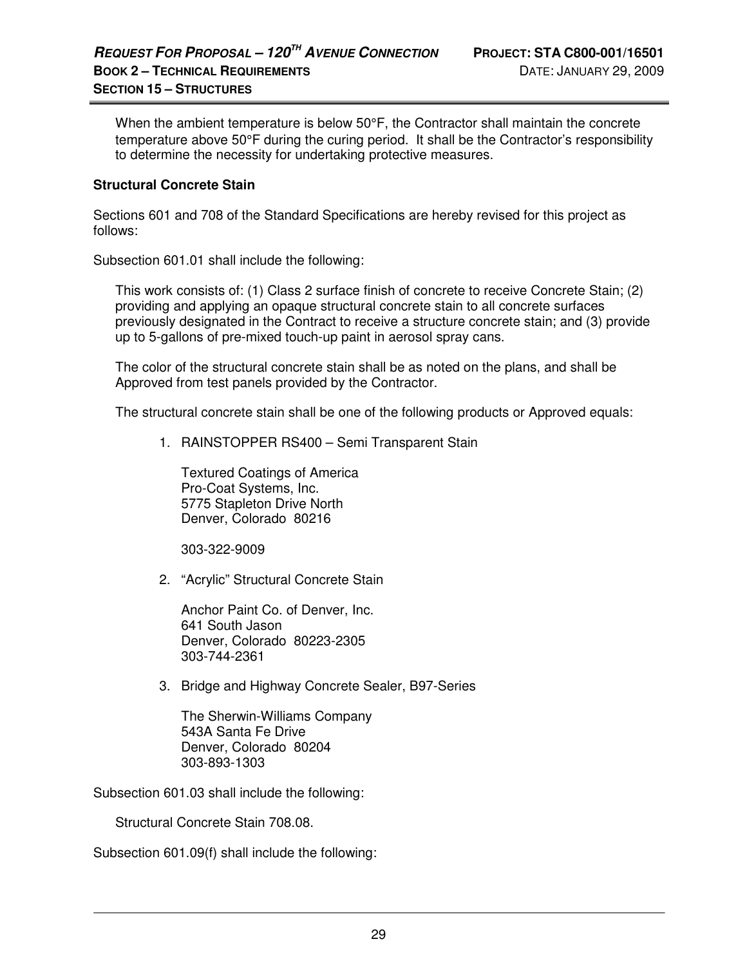When the ambient temperature is below 50°F, the Contractor shall maintain the concrete temperature above 50°F during the curing period. It shall be the Contractor's responsibility to determine the necessity for undertaking protective measures.

#### **Structural Concrete Stain**

Sections 601 and 708 of the Standard Specifications are hereby revised for this project as follows:

Subsection 601.01 shall include the following:

This work consists of: (1) Class 2 surface finish of concrete to receive Concrete Stain; (2) providing and applying an opaque structural concrete stain to all concrete surfaces previously designated in the Contract to receive a structure concrete stain; and (3) provide up to 5-gallons of pre-mixed touch-up paint in aerosol spray cans.

The color of the structural concrete stain shall be as noted on the plans, and shall be Approved from test panels provided by the Contractor.

The structural concrete stain shall be one of the following products or Approved equals:

1. RAINSTOPPER RS400 – Semi Transparent Stain

Textured Coatings of America Pro-Coat Systems, Inc. 5775 Stapleton Drive North Denver, Colorado 80216

303-322-9009

2. "Acrylic" Structural Concrete Stain

Anchor Paint Co. of Denver, Inc. 641 South Jason Denver, Colorado 80223-2305 303-744-2361

3. Bridge and Highway Concrete Sealer, B97-Series

The Sherwin-Williams Company 543A Santa Fe Drive Denver, Colorado 80204 303-893-1303

Subsection 601.03 shall include the following:

Structural Concrete Stain 708.08.

Subsection 601.09(f) shall include the following: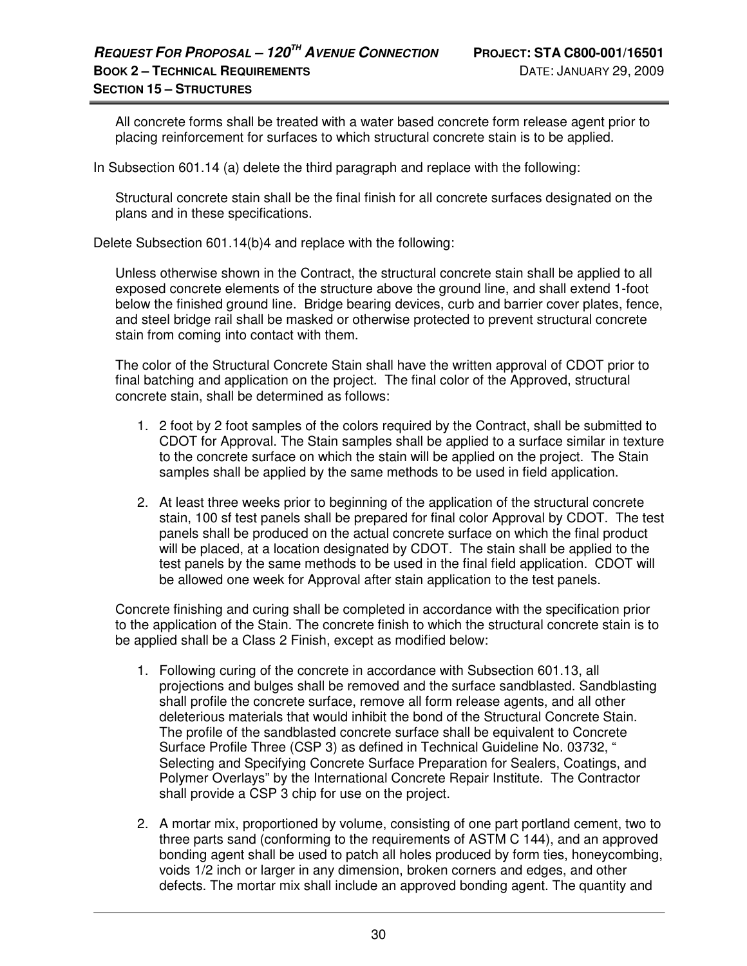All concrete forms shall be treated with a water based concrete form release agent prior to placing reinforcement for surfaces to which structural concrete stain is to be applied.

In Subsection 601.14 (a) delete the third paragraph and replace with the following:

Structural concrete stain shall be the final finish for all concrete surfaces designated on the plans and in these specifications.

Delete Subsection 601.14(b)4 and replace with the following:

Unless otherwise shown in the Contract, the structural concrete stain shall be applied to all exposed concrete elements of the structure above the ground line, and shall extend 1-foot below the finished ground line. Bridge bearing devices, curb and barrier cover plates, fence, and steel bridge rail shall be masked or otherwise protected to prevent structural concrete stain from coming into contact with them.

The color of the Structural Concrete Stain shall have the written approval of CDOT prior to final batching and application on the project. The final color of the Approved, structural concrete stain, shall be determined as follows:

- 1. 2 foot by 2 foot samples of the colors required by the Contract, shall be submitted to CDOT for Approval. The Stain samples shall be applied to a surface similar in texture to the concrete surface on which the stain will be applied on the project. The Stain samples shall be applied by the same methods to be used in field application.
- 2. At least three weeks prior to beginning of the application of the structural concrete stain, 100 sf test panels shall be prepared for final color Approval by CDOT. The test panels shall be produced on the actual concrete surface on which the final product will be placed, at a location designated by CDOT. The stain shall be applied to the test panels by the same methods to be used in the final field application. CDOT will be allowed one week for Approval after stain application to the test panels.

Concrete finishing and curing shall be completed in accordance with the specification prior to the application of the Stain. The concrete finish to which the structural concrete stain is to be applied shall be a Class 2 Finish, except as modified below:

- 1. Following curing of the concrete in accordance with Subsection 601.13, all projections and bulges shall be removed and the surface sandblasted. Sandblasting shall profile the concrete surface, remove all form release agents, and all other deleterious materials that would inhibit the bond of the Structural Concrete Stain. The profile of the sandblasted concrete surface shall be equivalent to Concrete Surface Profile Three (CSP 3) as defined in Technical Guideline No. 03732, " Selecting and Specifying Concrete Surface Preparation for Sealers, Coatings, and Polymer Overlays" by the International Concrete Repair Institute. The Contractor shall provide a CSP 3 chip for use on the project.
- 2. A mortar mix, proportioned by volume, consisting of one part portland cement, two to three parts sand (conforming to the requirements of ASTM C 144), and an approved bonding agent shall be used to patch all holes produced by form ties, honeycombing, voids 1/2 inch or larger in any dimension, broken corners and edges, and other defects. The mortar mix shall include an approved bonding agent. The quantity and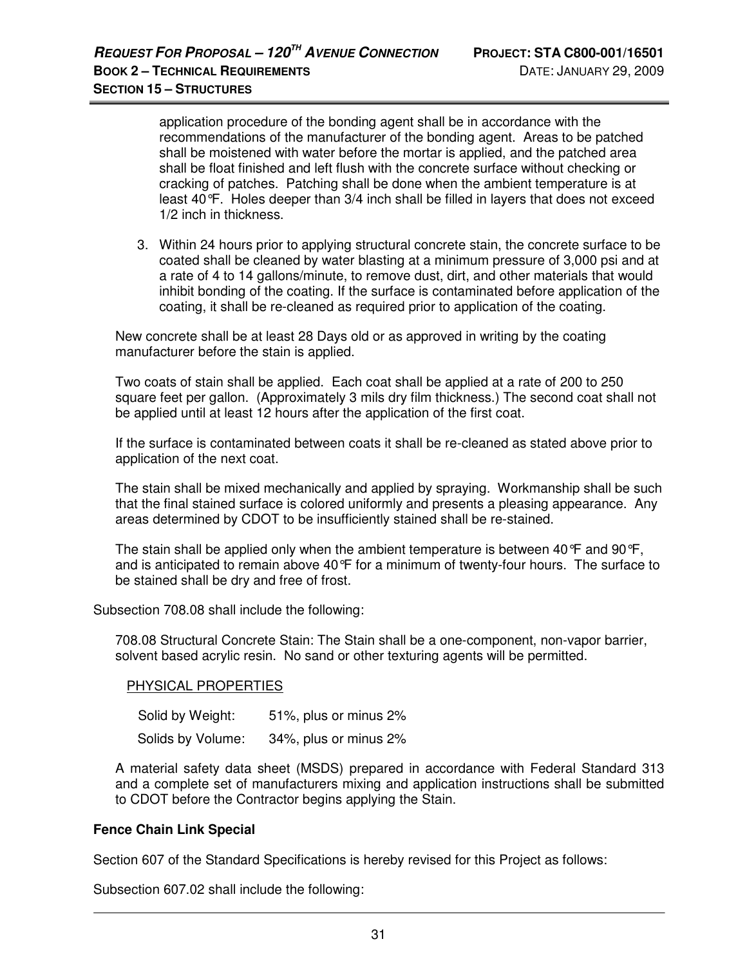application procedure of the bonding agent shall be in accordance with the recommendations of the manufacturer of the bonding agent. Areas to be patched shall be moistened with water before the mortar is applied, and the patched area shall be float finished and left flush with the concrete surface without checking or cracking of patches. Patching shall be done when the ambient temperature is at least 40°F. Holes deeper than 3/4 inch shall be filled in layers that does not exceed 1/2 inch in thickness.

3. Within 24 hours prior to applying structural concrete stain, the concrete surface to be coated shall be cleaned by water blasting at a minimum pressure of 3,000 psi and at a rate of 4 to 14 gallons/minute, to remove dust, dirt, and other materials that would inhibit bonding of the coating. If the surface is contaminated before application of the coating, it shall be re-cleaned as required prior to application of the coating.

New concrete shall be at least 28 Days old or as approved in writing by the coating manufacturer before the stain is applied.

Two coats of stain shall be applied. Each coat shall be applied at a rate of 200 to 250 square feet per gallon. (Approximately 3 mils dry film thickness.) The second coat shall not be applied until at least 12 hours after the application of the first coat.

If the surface is contaminated between coats it shall be re-cleaned as stated above prior to application of the next coat.

The stain shall be mixed mechanically and applied by spraying. Workmanship shall be such that the final stained surface is colored uniformly and presents a pleasing appearance. Any areas determined by CDOT to be insufficiently stained shall be re-stained.

The stain shall be applied only when the ambient temperature is between 40 $\degree$ F and 90 $\degree$ F, and is anticipated to remain above 40°F for a minimum of twenty-four hours. The surface to be stained shall be dry and free of frost.

Subsection 708.08 shall include the following:

708.08 Structural Concrete Stain: The Stain shall be a one-component, non-vapor barrier, solvent based acrylic resin. No sand or other texturing agents will be permitted.

#### PHYSICAL PROPERTIES

Solid by Weight: 51%, plus or minus 2% Solids by Volume: 34%, plus or minus 2%

A material safety data sheet (MSDS) prepared in accordance with Federal Standard 313 and a complete set of manufacturers mixing and application instructions shall be submitted to CDOT before the Contractor begins applying the Stain.

#### **Fence Chain Link Special**

Section 607 of the Standard Specifications is hereby revised for this Project as follows:

Subsection 607.02 shall include the following: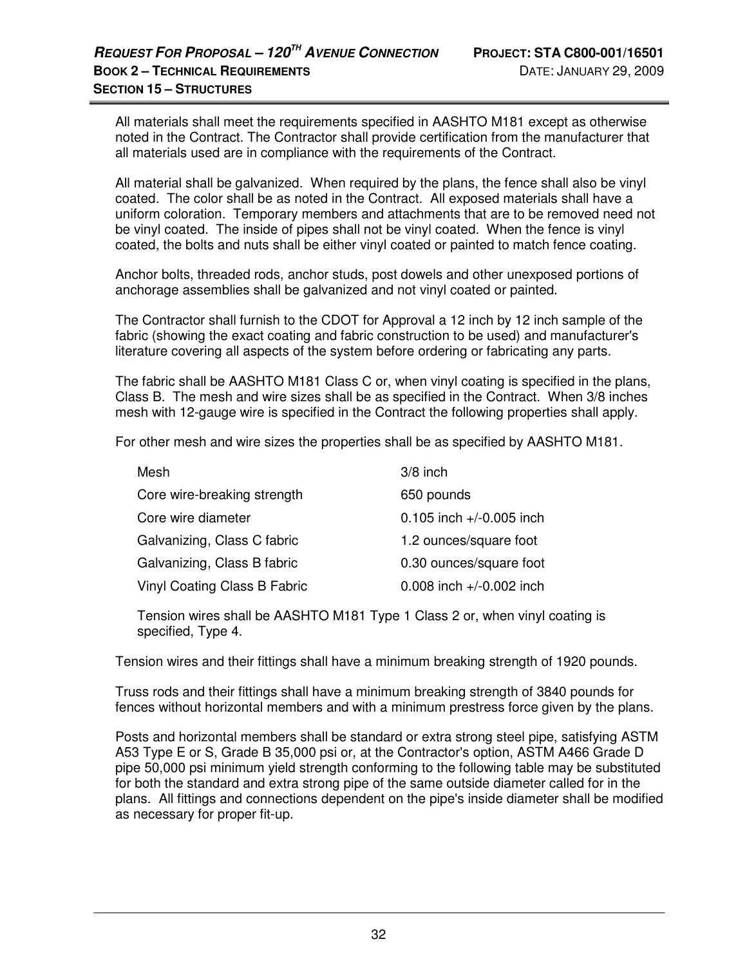All materials shall meet the requirements specified in AASHTO M181 except as otherwise noted in the Contract. The Contractor shall provide certification from the manufacturer that all materials used are in compliance with the requirements of the Contract.

All material shall be galvanized. When required by the plans, the fence shall also be vinyl coated. The color shall be as noted in the Contract. All exposed materials shall have a uniform coloration. Temporary members and attachments that are to be removed need not be vinyl coated. The inside of pipes shall not be vinyl coated. When the fence is vinyl coated, the bolts and nuts shall be either vinyl coated or painted to match fence coating.

Anchor bolts, threaded rods, anchor studs, post dowels and other unexposed portions of anchorage assemblies shall be galvanized and not vinyl coated or painted.

The Contractor shall furnish to the CDOT for Approval a 12 inch by 12 inch sample of the fabric (showing the exact coating and fabric construction to be used) and manufacturer's literature covering all aspects of the system before ordering or fabricating any parts.

The fabric shall be AASHTO M181 Class C or, when vinyl coating is specified in the plans, Class B. The mesh and wire sizes shall be as specified in the Contract. When 3/8 inches mesh with 12-gauge wire is specified in the Contract the following properties shall apply.

For other mesh and wire sizes the properties shall be as specified by AASHTO M181.

| Mesh                         | $3/8$ inch                   |
|------------------------------|------------------------------|
| Core wire-breaking strength  | 650 pounds                   |
| Core wire diameter           | $0.105$ inch $+/-0.005$ inch |
| Galvanizing, Class C fabric  | 1.2 ounces/square foot       |
| Galvanizing, Class B fabric  | 0.30 ounces/square foot      |
| Vinyl Coating Class B Fabric | 0.008 inch +/-0.002 inch     |
|                              |                              |

 Tension wires shall be AASHTO M181 Type 1 Class 2 or, when vinyl coating is specified, Type 4.

Tension wires and their fittings shall have a minimum breaking strength of 1920 pounds.

Truss rods and their fittings shall have a minimum breaking strength of 3840 pounds for fences without horizontal members and with a minimum prestress force given by the plans.

Posts and horizontal members shall be standard or extra strong steel pipe, satisfying ASTM A53 Type E or S, Grade B 35,000 psi or, at the Contractor's option, ASTM A466 Grade D pipe 50,000 psi minimum yield strength conforming to the following table may be substituted for both the standard and extra strong pipe of the same outside diameter called for in the plans. All fittings and connections dependent on the pipe's inside diameter shall be modified as necessary for proper fit-up.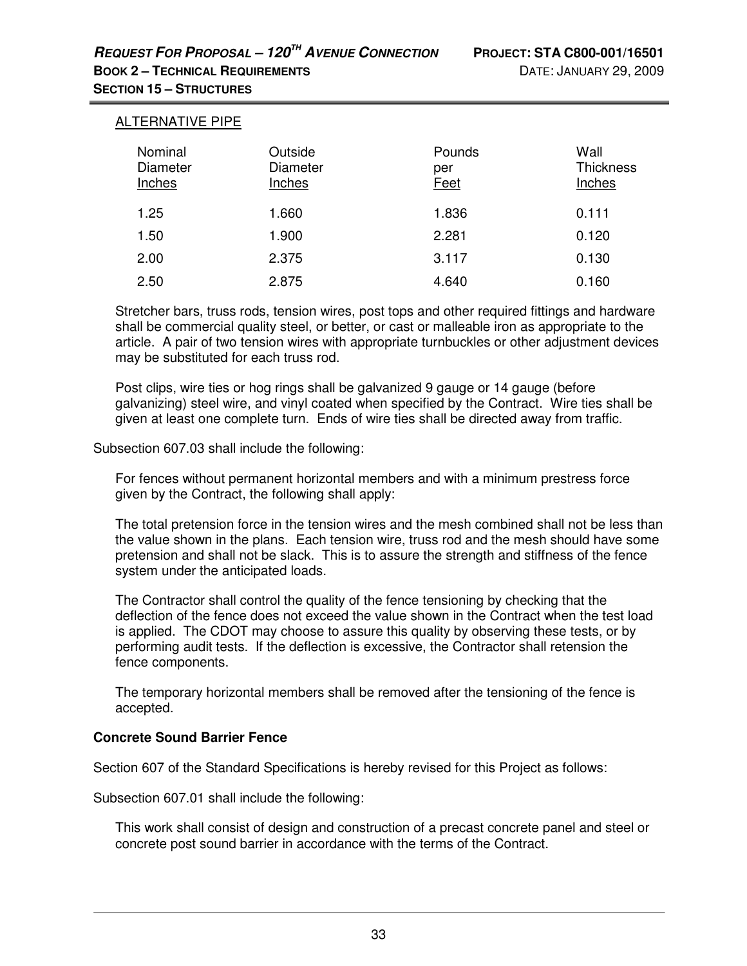# **SECTION 15 – STRUCTURES**

| <b>ALTERNATIVE PIPE</b>       |                               |                              |                                    |
|-------------------------------|-------------------------------|------------------------------|------------------------------------|
| Nominal<br>Diameter<br>Inches | Outside<br>Diameter<br>Inches | Pounds<br>per<br><b>Feet</b> | Wall<br><b>Thickness</b><br>Inches |
| 1.25                          | 1.660                         | 1.836                        | 0.111                              |
| 1.50                          | 1.900                         | 2.281                        | 0.120                              |
| 2.00                          | 2.375                         | 3.117                        | 0.130                              |
| 2.50                          | 2.875                         | 4.640                        | 0.160                              |

Stretcher bars, truss rods, tension wires, post tops and other required fittings and hardware shall be commercial quality steel, or better, or cast or malleable iron as appropriate to the article. A pair of two tension wires with appropriate turnbuckles or other adjustment devices may be substituted for each truss rod.

Post clips, wire ties or hog rings shall be galvanized 9 gauge or 14 gauge (before galvanizing) steel wire, and vinyl coated when specified by the Contract. Wire ties shall be given at least one complete turn. Ends of wire ties shall be directed away from traffic.

Subsection 607.03 shall include the following:

For fences without permanent horizontal members and with a minimum prestress force given by the Contract, the following shall apply:

The total pretension force in the tension wires and the mesh combined shall not be less than the value shown in the plans. Each tension wire, truss rod and the mesh should have some pretension and shall not be slack. This is to assure the strength and stiffness of the fence system under the anticipated loads.

The Contractor shall control the quality of the fence tensioning by checking that the deflection of the fence does not exceed the value shown in the Contract when the test load is applied. The CDOT may choose to assure this quality by observing these tests, or by performing audit tests. If the deflection is excessive, the Contractor shall retension the fence components.

The temporary horizontal members shall be removed after the tensioning of the fence is accepted.

## **Concrete Sound Barrier Fence**

Section 607 of the Standard Specifications is hereby revised for this Project as follows:

Subsection 607.01 shall include the following:

This work shall consist of design and construction of a precast concrete panel and steel or concrete post sound barrier in accordance with the terms of the Contract.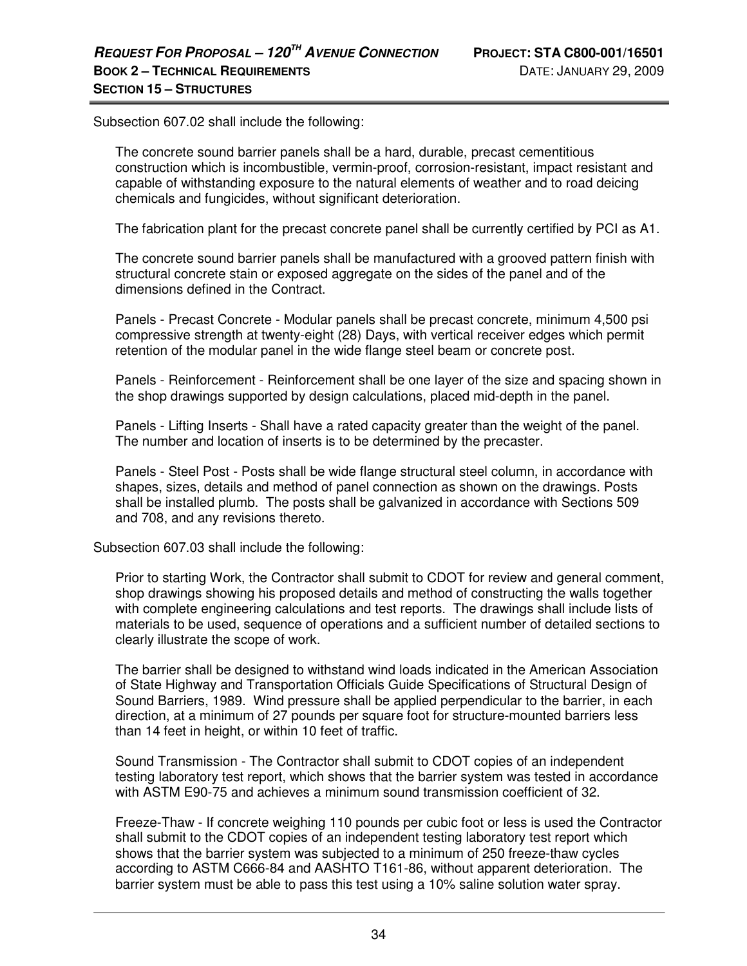Subsection 607.02 shall include the following:

The concrete sound barrier panels shall be a hard, durable, precast cementitious construction which is incombustible, vermin-proof, corrosion-resistant, impact resistant and capable of withstanding exposure to the natural elements of weather and to road deicing chemicals and fungicides, without significant deterioration.

The fabrication plant for the precast concrete panel shall be currently certified by PCI as A1.

The concrete sound barrier panels shall be manufactured with a grooved pattern finish with structural concrete stain or exposed aggregate on the sides of the panel and of the dimensions defined in the Contract.

Panels - Precast Concrete - Modular panels shall be precast concrete, minimum 4,500 psi compressive strength at twenty-eight (28) Days, with vertical receiver edges which permit retention of the modular panel in the wide flange steel beam or concrete post.

Panels - Reinforcement - Reinforcement shall be one layer of the size and spacing shown in the shop drawings supported by design calculations, placed mid-depth in the panel.

Panels - Lifting Inserts - Shall have a rated capacity greater than the weight of the panel. The number and location of inserts is to be determined by the precaster.

Panels - Steel Post - Posts shall be wide flange structural steel column, in accordance with shapes, sizes, details and method of panel connection as shown on the drawings. Posts shall be installed plumb. The posts shall be galvanized in accordance with Sections 509 and 708, and any revisions thereto.

Subsection 607.03 shall include the following:

Prior to starting Work, the Contractor shall submit to CDOT for review and general comment, shop drawings showing his proposed details and method of constructing the walls together with complete engineering calculations and test reports. The drawings shall include lists of materials to be used, sequence of operations and a sufficient number of detailed sections to clearly illustrate the scope of work.

The barrier shall be designed to withstand wind loads indicated in the American Association of State Highway and Transportation Officials Guide Specifications of Structural Design of Sound Barriers, 1989. Wind pressure shall be applied perpendicular to the barrier, in each direction, at a minimum of 27 pounds per square foot for structure-mounted barriers less than 14 feet in height, or within 10 feet of traffic.

Sound Transmission - The Contractor shall submit to CDOT copies of an independent testing laboratory test report, which shows that the barrier system was tested in accordance with ASTM E90-75 and achieves a minimum sound transmission coefficient of 32.

Freeze-Thaw - If concrete weighing 110 pounds per cubic foot or less is used the Contractor shall submit to the CDOT copies of an independent testing laboratory test report which shows that the barrier system was subjected to a minimum of 250 freeze-thaw cycles according to ASTM C666-84 and AASHTO T161-86, without apparent deterioration. The barrier system must be able to pass this test using a 10% saline solution water spray.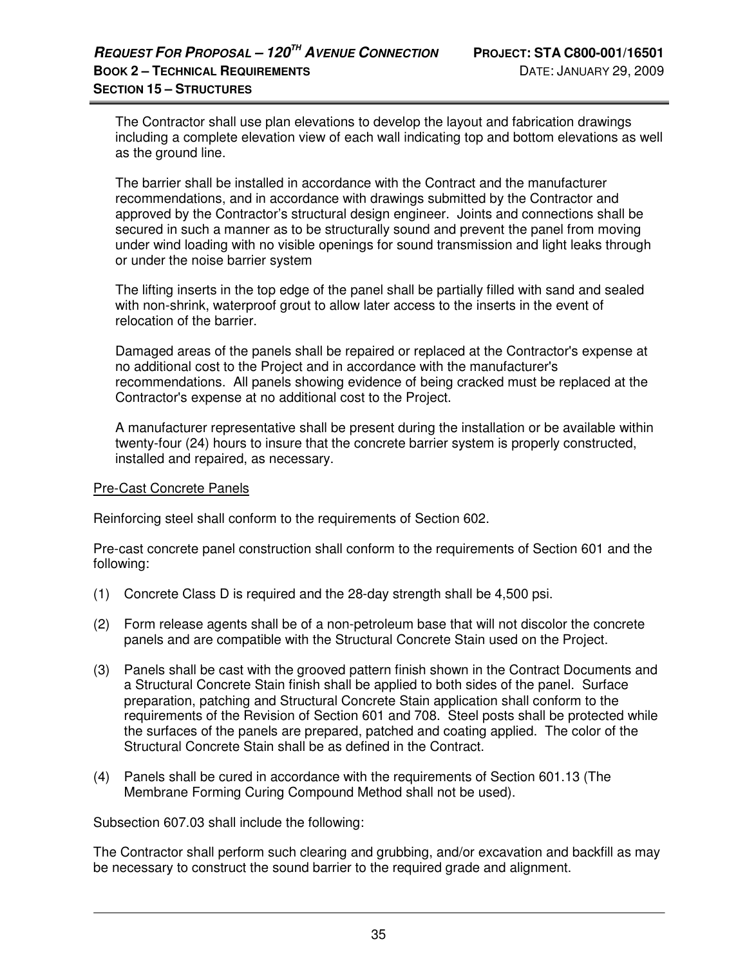The Contractor shall use plan elevations to develop the layout and fabrication drawings including a complete elevation view of each wall indicating top and bottom elevations as well as the ground line.

The barrier shall be installed in accordance with the Contract and the manufacturer recommendations, and in accordance with drawings submitted by the Contractor and approved by the Contractor's structural design engineer. Joints and connections shall be secured in such a manner as to be structurally sound and prevent the panel from moving under wind loading with no visible openings for sound transmission and light leaks through or under the noise barrier system

The lifting inserts in the top edge of the panel shall be partially filled with sand and sealed with non-shrink, waterproof grout to allow later access to the inserts in the event of relocation of the barrier.

Damaged areas of the panels shall be repaired or replaced at the Contractor's expense at no additional cost to the Project and in accordance with the manufacturer's recommendations. All panels showing evidence of being cracked must be replaced at the Contractor's expense at no additional cost to the Project.

A manufacturer representative shall be present during the installation or be available within twenty-four (24) hours to insure that the concrete barrier system is properly constructed, installed and repaired, as necessary.

#### Pre-Cast Concrete Panels

Reinforcing steel shall conform to the requirements of Section 602.

Pre-cast concrete panel construction shall conform to the requirements of Section 601 and the following:

- (1) Concrete Class D is required and the 28-day strength shall be 4,500 psi.
- (2) Form release agents shall be of a non-petroleum base that will not discolor the concrete panels and are compatible with the Structural Concrete Stain used on the Project.
- (3) Panels shall be cast with the grooved pattern finish shown in the Contract Documents and a Structural Concrete Stain finish shall be applied to both sides of the panel. Surface preparation, patching and Structural Concrete Stain application shall conform to the requirements of the Revision of Section 601 and 708. Steel posts shall be protected while the surfaces of the panels are prepared, patched and coating applied. The color of the Structural Concrete Stain shall be as defined in the Contract.
- (4) Panels shall be cured in accordance with the requirements of Section 601.13 (The Membrane Forming Curing Compound Method shall not be used).

Subsection 607.03 shall include the following:

The Contractor shall perform such clearing and grubbing, and/or excavation and backfill as may be necessary to construct the sound barrier to the required grade and alignment.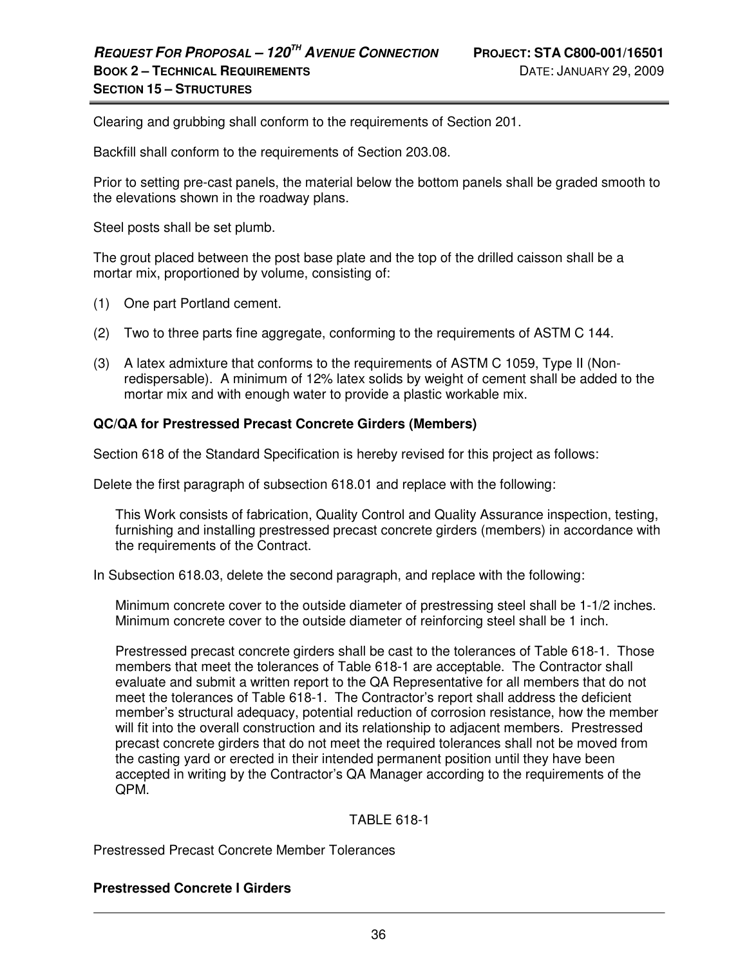Clearing and grubbing shall conform to the requirements of Section 201.

Backfill shall conform to the requirements of Section 203.08.

Prior to setting pre-cast panels, the material below the bottom panels shall be graded smooth to the elevations shown in the roadway plans.

Steel posts shall be set plumb.

The grout placed between the post base plate and the top of the drilled caisson shall be a mortar mix, proportioned by volume, consisting of:

- (1) One part Portland cement.
- (2) Two to three parts fine aggregate, conforming to the requirements of ASTM C 144.
- (3) A latex admixture that conforms to the requirements of ASTM C 1059, Type II (Nonredispersable). A minimum of 12% latex solids by weight of cement shall be added to the mortar mix and with enough water to provide a plastic workable mix.

#### **QC/QA for Prestressed Precast Concrete Girders (Members)**

Section 618 of the Standard Specification is hereby revised for this project as follows:

Delete the first paragraph of subsection 618.01 and replace with the following:

This Work consists of fabrication, Quality Control and Quality Assurance inspection, testing, furnishing and installing prestressed precast concrete girders (members) in accordance with the requirements of the Contract.

In Subsection 618.03, delete the second paragraph, and replace with the following:

Minimum concrete cover to the outside diameter of prestressing steel shall be 1-1/2 inches. Minimum concrete cover to the outside diameter of reinforcing steel shall be 1 inch.

Prestressed precast concrete girders shall be cast to the tolerances of Table 618-1. Those members that meet the tolerances of Table 618-1 are acceptable. The Contractor shall evaluate and submit a written report to the QA Representative for all members that do not meet the tolerances of Table 618-1. The Contractor's report shall address the deficient member's structural adequacy, potential reduction of corrosion resistance, how the member will fit into the overall construction and its relationship to adjacent members. Prestressed precast concrete girders that do not meet the required tolerances shall not be moved from the casting yard or erected in their intended permanent position until they have been accepted in writing by the Contractor's QA Manager according to the requirements of the QPM.

#### TABLE 618-1

Prestressed Precast Concrete Member Tolerances

#### **Prestressed Concrete I Girders**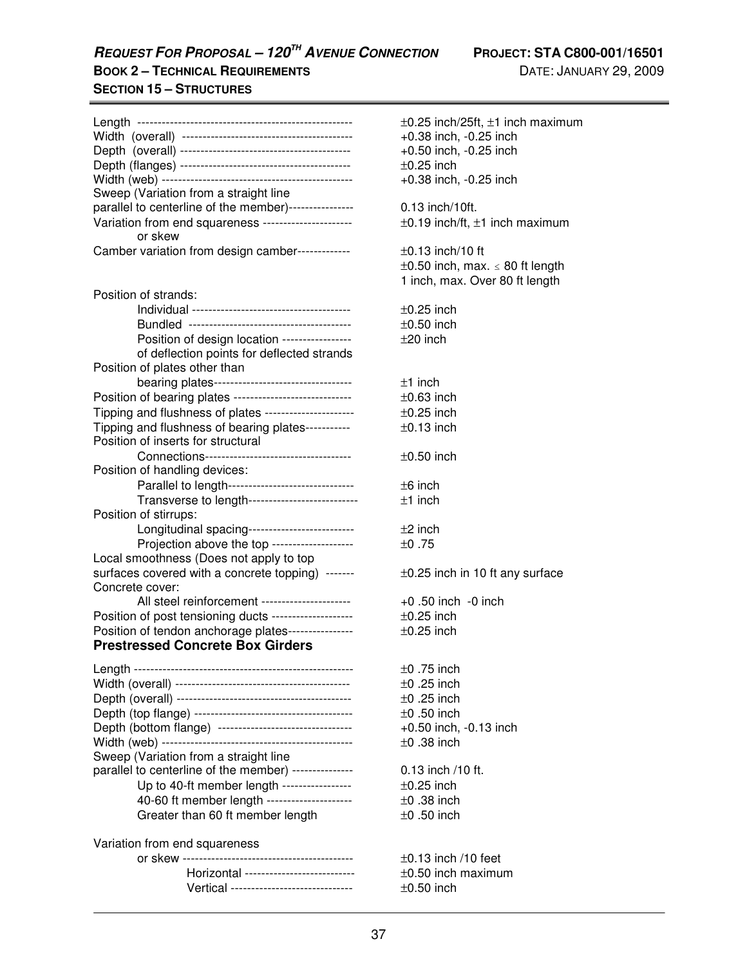**REQUEST FOR PROPOSAL – 120TH AVENUE CONNECTION PROJECT: STA C800-001/16501** 

**BOOK 2 – TECHNICAL REQUIREMENTS** DATE: JANUARY 29, 2009 **SECTION 15 – STRUCTURES**

|                                                         | $\pm 0.25$ inch/25ft,       |
|---------------------------------------------------------|-----------------------------|
|                                                         | $+0.38$ inch, $-0.2$        |
|                                                         | $+0.50$ inch, $-0.2$        |
|                                                         | $\pm 0.25$ inch             |
|                                                         | $+0.38$ inch, $-0.2$        |
| Sweep (Variation from a straight line                   |                             |
| parallel to centerline of the member)----------------   | 0.13 inch/10ft.             |
| Variation from end squareness ----------------------    | $\pm 0.19$ inch/ft, $\pm 1$ |
| or skew                                                 |                             |
| Camber variation from design camber-------------        | $\pm 0.13$ inch/10 ft       |
|                                                         | $\pm 0.50$ inch, max        |
|                                                         | 1 inch, max. Ov             |
| Position of strands:                                    |                             |
|                                                         | $\pm 0.25$ inch             |
|                                                         | $\pm 0.50$ inch             |
| Position of design location ----------------            | $±20$ inch                  |
| of deflection points for deflected strands              |                             |
| Position of plates other than                           |                             |
| bearing plates---------------------------------         | $±1$ inch                   |
| Position of bearing plates ---------------------------- | $\pm 0.63$ inch             |
| Tipping and flushness of plates ---------------------   | $\pm 0.25$ inch             |
| Tipping and flushness of bearing plates-----------      | $±0.13$ inch                |
| Position of inserts for structural                      |                             |
| Connections-----------------------------------          | $\pm 0.50$ inch             |
| Position of handling devices:                           |                             |
| Parallel to length------------------------------        | $±6$ inch                   |
| Transverse to length--------------------------          | $±1$ inch                   |
| Position of stirrups:                                   |                             |
| Longitudinal spacing-------------------------           | $±2$ inch                   |
| Projection above the top -------------------            | ±0.75                       |
| Local smoothness (Does not apply to top                 |                             |
| surfaces covered with a concrete topping) -------       | $\pm 0.25$ inch in 10       |
| Concrete cover:                                         |                             |
| All steel reinforcement ---------------------           | $+0.50$ inch $-0$ is        |
| Position of post tensioning ducts -------------------   | $\pm 0.25$ inch             |
| Position of tendon anchorage plates----------------     | $\pm 0.25$ inch             |
| <b>Prestressed Concrete Box Girders</b>                 |                             |
|                                                         | $±0.75$ inch                |
|                                                         |                             |
|                                                         | $\pm 0$ .25 inch            |
|                                                         | $\pm 0$ .25 inch            |
|                                                         | $\pm 0.50$ inch             |
| Depth (bottom flange) --------------------------------- | $+0.50$ inch, $-0.1$        |
|                                                         | $±0.38$ inch                |
| Sweep (Variation from a straight line                   |                             |
| parallel to centerline of the member) ---------------   | 0.13 inch /10 ft.           |

Up to 40-ft member length ----------------- ±0.25 inch 40-60 ft member length --------------------- ±0 .38 inch Greater than 60 ft member length  $\pm 0.50$  inch

#### Variation from end squareness

|                                         | $\pm 0.13$ inch /10 feet |
|-----------------------------------------|--------------------------|
| Horizontal ---------------------------  | $\pm$ 0.50 inch maximu   |
| Vertical ------------------------------ | $\pm 0.50$ inch          |

 $\pm$ 0.25 inch/25ft,  $\pm$ 1 inch maximum +0.38 inch, -0.25 inch  $+0.50$  inch,  $-0.25$  inch  $\pm 0.25$  inch  $+0.38$  inch,  $-0.25$  inch  $0.13$  inch/10ft.  $\pm 0.19$  inch/ft,  $\pm 1$  inch maximum  $\pm$ 0.13 inch/10 ft  $\pm 0.50$  inch, max.  $\leq 80$  ft length 1 inch, max. Over 80 ft length  $\pm 0.25$  inch  $\pm 0.50$  inch  $\pm 20$  inch  $±1$  inch  $\pm 0.63$  inch  $\pm 0.25$  inch  $\pm 0.13$  inch  $\pm 0.50$  inch  $\pm 6$  inch  $±1$  inch  $±2$  inch  $±0.75$  $\pm 0.25$  inch in 10 ft any surface  $+0.50$  inch  $-0$  inch  $\pm 0.25$  inch  $\pm 0.25$  inch  $±0.75$  inch  $±0.25$  inch  $±0.25$  inch  $±0.50$  inch  $+0.50$  inch,  $-0.13$  inch  $±0.38$  inch

 $\pm 0.50$  inch maximum  $\pm 0.50$  inch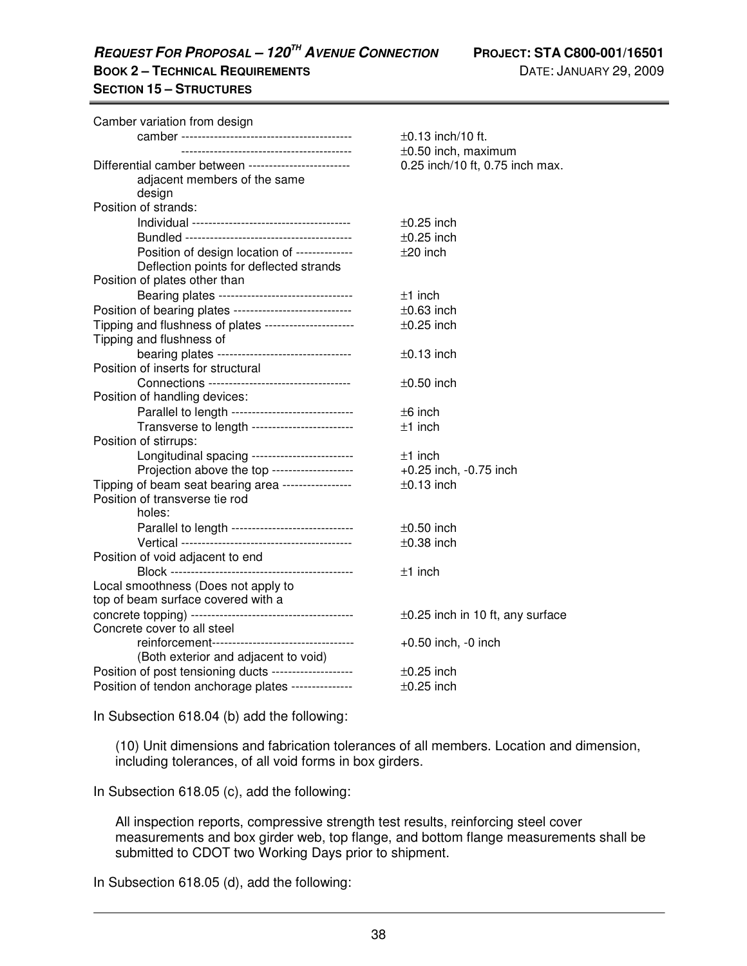**REQUEST FOR PROPOSAL – 120TH AVENUE CONNECTION PROJECT: STA C800-001/16501** 

# **SECTION 15 – STRUCTURES**

| Camber variation from design                            | $\pm 0.13$ inch/10 ft.                |
|---------------------------------------------------------|---------------------------------------|
| ----------------------------------                      | $\pm 0.50$ inch, maximum              |
| Differential camber between ------------------------    | 0.25 inch/10 ft, 0.75 inch max.       |
| adjacent members of the same                            |                                       |
| design                                                  |                                       |
| Position of strands:                                    |                                       |
|                                                         | $\pm 0.25$ inch                       |
|                                                         | $\pm 0.25$ inch                       |
| Position of design location of --------------           | $±20$ inch                            |
| Deflection points for deflected strands                 |                                       |
| Position of plates other than                           |                                       |
| Bearing plates --------------------------------         | $±1$ inch                             |
| Position of bearing plates ---------------------------- | $\pm 0.63$ inch                       |
| Tipping and flushness of plates ----------------------  | $\pm 0.25$ inch                       |
| Tipping and flushness of                                |                                       |
| bearing plates --------------------------------         | $\pm 0.13$ inch                       |
| Position of inserts for structural                      |                                       |
| Connections -----------------------------------         | $\pm 0.50$ inch                       |
| Position of handling devices:                           |                                       |
| Parallel to length -----------------------------        | $±6$ inch                             |
| Transverse to length -------------------------          | $±1$ inch                             |
| Position of stirrups:                                   |                                       |
| Longitudinal spacing ------------------------           | $±1$ inch                             |
| Projection above the top -------------------            | +0.25 inch, -0.75 inch                |
| Tipping of beam seat bearing area -----------------     | $±0.13$ inch                          |
| Position of transverse tie rod                          |                                       |
| holes:                                                  |                                       |
| Parallel to length -----------------------------        | $\pm 0.50$ inch                       |
|                                                         | $\pm 0.38$ inch                       |
| Position of void adjacent to end                        |                                       |
| .<br>Block ---------------------                        | $±1$ inch                             |
| Local smoothness (Does not apply to                     |                                       |
| top of beam surface covered with a                      |                                       |
|                                                         | $\pm 0.25$ inch in 10 ft, any surface |
| Concrete cover to all steel                             |                                       |
|                                                         | $+0.50$ inch, $-0$ inch               |
| (Both exterior and adjacent to void)                    |                                       |
| Position of post tensioning ducts -------------------   | $\pm 0.25$ inch                       |
| Position of tendon anchorage plates ---------------     | $\pm 0.25$ inch                       |

In Subsection 618.04 (b) add the following:

(10) Unit dimensions and fabrication tolerances of all members. Location and dimension, including tolerances, of all void forms in box girders.

In Subsection 618.05 (c), add the following:

All inspection reports, compressive strength test results, reinforcing steel cover measurements and box girder web, top flange, and bottom flange measurements shall be submitted to CDOT two Working Days prior to shipment.

In Subsection 618.05 (d), add the following: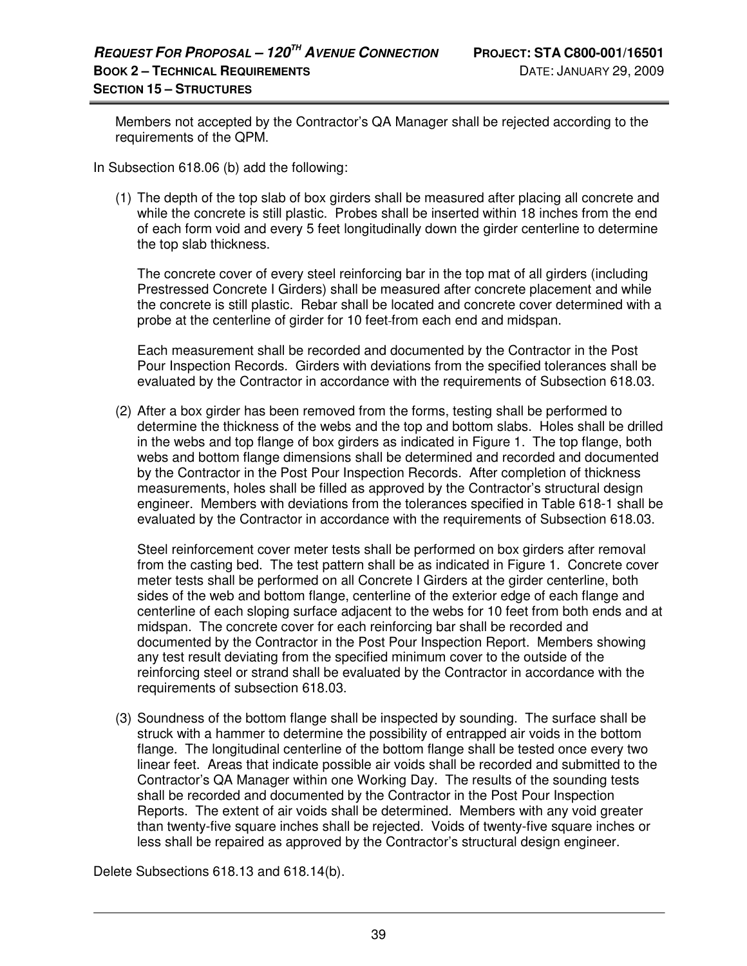Members not accepted by the Contractor's QA Manager shall be rejected according to the requirements of the QPM.

In Subsection 618.06 (b) add the following:

(1) The depth of the top slab of box girders shall be measured after placing all concrete and while the concrete is still plastic. Probes shall be inserted within 18 inches from the end of each form void and every 5 feet longitudinally down the girder centerline to determine the top slab thickness.

The concrete cover of every steel reinforcing bar in the top mat of all girders (including Prestressed Concrete I Girders) shall be measured after concrete placement and while the concrete is still plastic. Rebar shall be located and concrete cover determined with a probe at the centerline of girder for 10 feet from each end and midspan.

Each measurement shall be recorded and documented by the Contractor in the Post Pour Inspection Records. Girders with deviations from the specified tolerances shall be evaluated by the Contractor in accordance with the requirements of Subsection 618.03.

(2) After a box girder has been removed from the forms, testing shall be performed to determine the thickness of the webs and the top and bottom slabs. Holes shall be drilled in the webs and top flange of box girders as indicated in Figure 1. The top flange, both webs and bottom flange dimensions shall be determined and recorded and documented by the Contractor in the Post Pour Inspection Records. After completion of thickness measurements, holes shall be filled as approved by the Contractor's structural design engineer. Members with deviations from the tolerances specified in Table 618-1 shall be evaluated by the Contractor in accordance with the requirements of Subsection 618.03.

Steel reinforcement cover meter tests shall be performed on box girders after removal from the casting bed. The test pattern shall be as indicated in Figure 1. Concrete cover meter tests shall be performed on all Concrete I Girders at the girder centerline, both sides of the web and bottom flange, centerline of the exterior edge of each flange and centerline of each sloping surface adjacent to the webs for 10 feet from both ends and at midspan. The concrete cover for each reinforcing bar shall be recorded and documented by the Contractor in the Post Pour Inspection Report. Members showing any test result deviating from the specified minimum cover to the outside of the reinforcing steel or strand shall be evaluated by the Contractor in accordance with the requirements of subsection 618.03.

(3) Soundness of the bottom flange shall be inspected by sounding. The surface shall be struck with a hammer to determine the possibility of entrapped air voids in the bottom flange. The longitudinal centerline of the bottom flange shall be tested once every two linear feet. Areas that indicate possible air voids shall be recorded and submitted to the Contractor's QA Manager within one Working Day. The results of the sounding tests shall be recorded and documented by the Contractor in the Post Pour Inspection Reports. The extent of air voids shall be determined. Members with any void greater than twenty-five square inches shall be rejected. Voids of twenty-five square inches or less shall be repaired as approved by the Contractor's structural design engineer.

Delete Subsections 618.13 and 618.14(b).